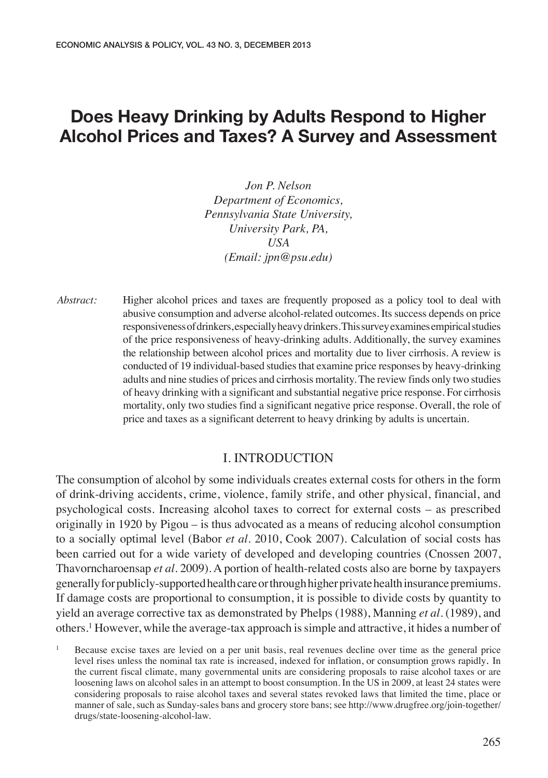*Jon P. Nelson Department of Economics, Pennsylvania State University, University Park, PA, USA (Email: jpn@psu.edu)*

*Abstract:* Higher alcohol prices and taxes are frequently proposed as a policy tool to deal with abusive consumption and adverse alcohol-related outcomes. Its success depends on price responsivenessofdrinkers,especiallyheavydrinkers.Thissurveyexaminesempiricalstudies of the price responsiveness of heavy-drinking adults. Additionally, the survey examines the relationship between alcohol prices and mortality due to liver cirrhosis. A review is conducted of 19 individual-based studiesthat examine price responses by heavy-drinking adults and nine studies of prices and cirrhosis mortality. The review finds only two studies of heavy drinking with a significant and substantial negative price response. For cirrhosis mortality, only two studies find a significant negative price response. Overall, the role of price and taxes as a significant deterrent to heavy drinking by adults is uncertain.

## I. INTRODUCTION

The consumption of alcohol by some individuals creates external costs for others in the form of drink-driving accidents, crime, violence, family strife, and other physical, financial, and psychological costs. Increasing alcohol taxes to correct for external costs – as prescribed originally in 1920 by Pigou – is thus advocated as a means of reducing alcohol consumption to a socially optimal level (Babor *et al.* 2010, Cook 2007). Calculation of social costs has been carried out for a wide variety of developed and developing countries (Cnossen 2007, Thavorncharoensap *et al.* 2009). A portion of health-related costs also are borne by taxpayers generally for publicly-supported health care or through higher private health insurance premiums. If damage costs are proportional to consumption, it is possible to divide costs by quantity to yield an average corrective tax as demonstrated by Phelps (1988), Manning *et al.* (1989), and others.1 However, while the average-tax approach issimple and attractive, it hides a number of

Because excise taxes are levied on a per unit basis, real revenues decline over time as the general price level rises unless the nominal tax rate is increased, indexed for inflation, or consumption grows rapidly. In the current fiscal climate, many governmental units are considering proposals to raise alcohol taxes or are loosening laws on alcohol sales in an attempt to boost consumption. In the US in 2009, at least 24 states were considering proposals to raise alcohol taxes and several states revoked laws that limited the time, place or manner of sale, such as Sunday-sales bans and grocery store bans; see http://www.drugfree.org/join-together/ drugs/state-loosening-alcohol-law.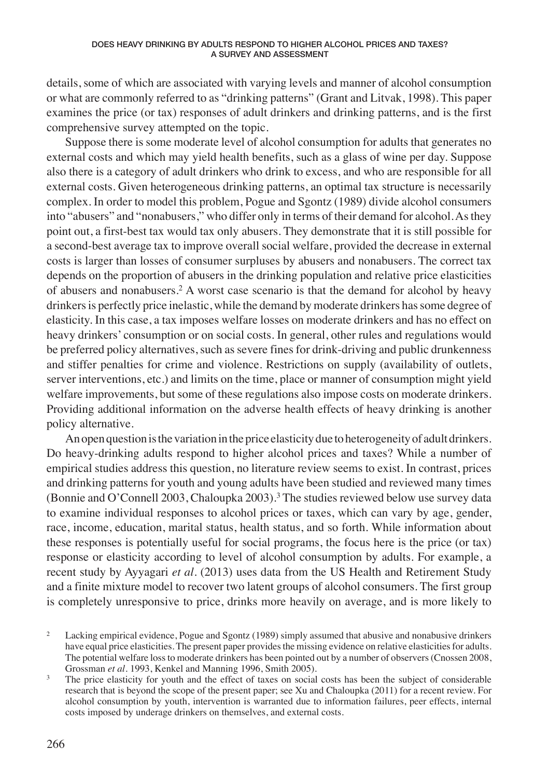details, some of which are associated with varying levels and manner of alcohol consumption or what are commonly referred to as "drinking patterns" (Grant and Litvak, 1998). This paper examines the price (or tax) responses of adult drinkers and drinking patterns, and is the first comprehensive survey attempted on the topic.

Suppose there is some moderate level of alcohol consumption for adults that generates no external costs and which may yield health benefits, such as a glass of wine per day. Suppose also there is a category of adult drinkers who drink to excess, and who are responsible for all external costs. Given heterogeneous drinking patterns, an optimal tax structure is necessarily complex. In order to model this problem, Pogue and Sgontz (1989) divide alcohol consumers into "abusers" and "nonabusers," who differ only in terms of their demand for alcohol.Asthey point out, a first-best tax would tax only abusers. They demonstrate that it is still possible for a second-best average tax to improve overall social welfare, provided the decrease in external costs is larger than losses of consumer surpluses by abusers and nonabusers. The correct tax depends on the proportion of abusers in the drinking population and relative price elasticities of abusers and nonabusers.2 A worst case scenario is that the demand for alcohol by heavy drinkers is perfectly price inelastic, while the demand by moderate drinkers has some degree of elasticity. In this case, a tax imposes welfare losses on moderate drinkers and has no effect on heavy drinkers' consumption or on social costs. In general, other rules and regulations would be preferred policy alternatives, such as severe fines for drink-driving and public drunkenness and stiffer penalties for crime and violence. Restrictions on supply (availability of outlets, server interventions, etc.) and limits on the time, place or manner of consumption might yield welfare improvements, but some of these regulations also impose costs on moderate drinkers. Providing additional information on the adverse health effects of heavy drinking is another policy alternative.

An open question is the variation in the price elasticity due to heterogeneity of adult drinkers. Do heavy-drinking adults respond to higher alcohol prices and taxes? While a number of empirical studies address this question, no literature review seems to exist. In contrast, prices and drinking patterns for youth and young adults have been studied and reviewed many times (Bonnie and O'Connell 2003, Chaloupka 2003).3 The studies reviewed below use survey data to examine individual responses to alcohol prices or taxes, which can vary by age, gender, race, income, education, marital status, health status, and so forth. While information about these responses is potentially useful for social programs, the focus here is the price (or tax) response or elasticity according to level of alcohol consumption by adults. For example, a recent study by Ayyagari *et al.* (2013) uses data from the US Health and Retirement Study and a finite mixture model to recover two latent groups of alcohol consumers. The first group is completely unresponsive to price, drinks more heavily on average, and is more likely to

<sup>&</sup>lt;sup>2</sup> Lacking empirical evidence, Pogue and Sgontz (1989) simply assumed that abusive and nonabusive drinkers have equal price elasticities. The present paper provides the missing evidence on relative elasticities for adults. The potential welfare lossto moderate drinkers has been pointed out by a number of observers(Cnossen 2008, Grossman *et al.* 1993, Kenkel and Manning 1996, Smith 2005).

<sup>&</sup>lt;sup>3</sup> The price elasticity for youth and the effect of taxes on social costs has been the subject of considerable research that is beyond the scope of the present paper; see Xu and Chaloupka (2011) for a recent review. For alcohol consumption by youth, intervention is warranted due to information failures, peer effects, internal costs imposed by underage drinkers on themselves, and external costs.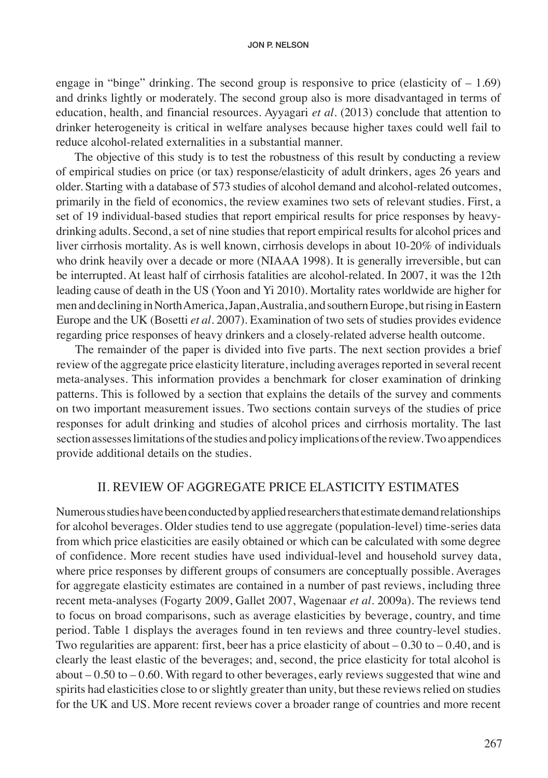#### Jon P. Nelson

engage in "binge" drinking. The second group is responsive to price (elasticity of  $-1.69$ ) and drinks lightly or moderately. The second group also is more disadvantaged in terms of education, health, and financial resources. Ayyagari *et al.* (2013) conclude that attention to drinker heterogeneity is critical in welfare analyses because higher taxes could well fail to reduce alcohol-related externalities in a substantial manner.

The objective of this study is to test the robustness of this result by conducting a review of empirical studies on price (or tax) response/elasticity of adult drinkers, ages 26 years and older. Starting with a database of 573 studies of alcohol demand and alcohol-related outcomes, primarily in the field of economics, the review examines two sets of relevant studies. First, a set of 19 individual-based studies that report empirical results for price responses by heavydrinking adults. Second, a set of nine studies that report empirical results for alcohol prices and liver cirrhosis mortality. As is well known, cirrhosis develops in about 10-20% of individuals who drink heavily over a decade or more (NIAAA 1998). It is generally irreversible, but can be interrupted. At least half of cirrhosis fatalities are alcohol-related. In 2007, it was the 12th leading cause of death in the US (Yoon and Yi 2010). Mortality rates worldwide are higher for men and declining inNorthAmerica,Japan,Australia, and southernEurope, butrising inEastern Europe and the UK (Bosetti *et al.* 2007). Examination of two sets of studies provides evidence regarding price responses of heavy drinkers and a closely-related adverse health outcome.

The remainder of the paper is divided into five parts. The next section provides a brief review of the aggregate price elasticity literature, including averagesreported in several recent meta-analyses. This information provides a benchmark for closer examination of drinking patterns. This is followed by a section that explains the details of the survey and comments on two important measurement issues. Two sections contain surveys of the studies of price responses for adult drinking and studies of alcohol prices and cirrhosis mortality. The last section assesses limitations of the studies and policy implications of the review. Two appendices provide additional details on the studies.

### II. REVIEW OF AGGREGATE PRICE ELASTICITY ESTIMATES

Numerous studies have been conducted by applied researchers that estimate demand relationships for alcohol beverages. Older studies tend to use aggregate (population-level) time-series data from which price elasticities are easily obtained or which can be calculated with some degree of confidence. More recent studies have used individual-level and household survey data, where price responses by different groups of consumers are conceptually possible. Averages for aggregate elasticity estimates are contained in a number of past reviews, including three recent meta-analyses (Fogarty 2009, Gallet 2007, Wagenaar *et al.* 2009a). The reviews tend to focus on broad comparisons, such as average elasticities by beverage, country, and time period. Table 1 displays the averages found in ten reviews and three country-level studies. Two regularities are apparent: first, beer has a price elasticity of about  $-0.30$  to  $-0.40$ , and is clearly the least elastic of the beverages; and, second, the price elasticity for total alcohol is about – 0.50 to – 0.60. With regard to other beverages, early reviews suggested that wine and spirits had elasticities close to or slightly greater than unity, but these reviews relied on studies for the UK and US. More recent reviews cover a broader range of countries and more recent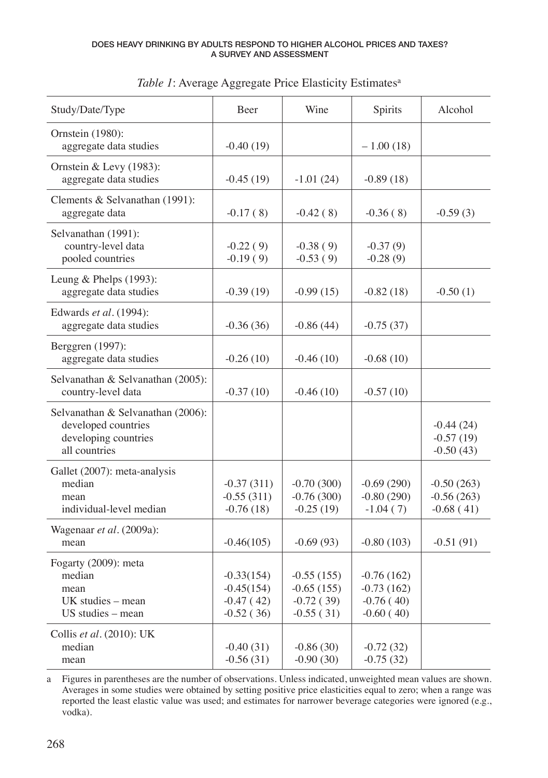| Study/Date/Type                                                                                   | Beer                                                       | Wine                                                       | Spirits                                                    | Alcohol                                     |
|---------------------------------------------------------------------------------------------------|------------------------------------------------------------|------------------------------------------------------------|------------------------------------------------------------|---------------------------------------------|
| Ornstein (1980):<br>aggregate data studies                                                        | $-0.40(19)$                                                |                                                            | $-1.00(18)$                                                |                                             |
| Ornstein & Levy (1983):<br>aggregate data studies                                                 | $-0.45(19)$                                                | $-1.01(24)$                                                | $-0.89(18)$                                                |                                             |
| Clements & Selvanathan (1991):<br>aggregate data                                                  | $-0.17(8)$                                                 | $-0.42(8)$                                                 | $-0.36(8)$                                                 | $-0.59(3)$                                  |
| Selvanathan (1991):<br>country-level data<br>pooled countries                                     | $-0.22(9)$<br>$-0.19(9)$                                   | $-0.38(9)$<br>$-0.53(9)$                                   | $-0.37(9)$<br>$-0.28(9)$                                   |                                             |
| Leung & Phelps $(1993)$ :<br>aggregate data studies                                               | $-0.39(19)$                                                | $-0.99(15)$                                                | $-0.82(18)$                                                | $-0.50(1)$                                  |
| Edwards et al. (1994):<br>aggregate data studies                                                  | $-0.36(36)$                                                | $-0.86(44)$                                                | $-0.75(37)$                                                |                                             |
| Berggren (1997):<br>aggregate data studies                                                        | $-0.26(10)$                                                | $-0.46(10)$                                                | $-0.68(10)$                                                |                                             |
| Selvanathan & Selvanathan (2005):<br>country-level data                                           | $-0.37(10)$                                                | $-0.46(10)$                                                | $-0.57(10)$                                                |                                             |
| Selvanathan & Selvanathan (2006):<br>developed countries<br>developing countries<br>all countries |                                                            |                                                            |                                                            | $-0.44(24)$<br>$-0.57(19)$<br>$-0.50(43)$   |
| Gallet (2007): meta-analysis<br>median<br>mean<br>individual-level median                         | $-0.37(311)$<br>$-0.55(311)$<br>$-0.76(18)$                | $-0.70(300)$<br>$-0.76(300)$<br>$-0.25(19)$                | $-0.69(290)$<br>$-0.80(290)$<br>$-1.04(7)$                 | $-0.50(263)$<br>$-0.56(263)$<br>$-0.68(41)$ |
| Wagenaar et al. (2009a):<br>mean                                                                  | $-0.46(105)$                                               | $-0.69(93)$                                                | $-0.80(103)$                                               | $-0.51(91)$                                 |
| Fogarty (2009): meta<br>median<br>mean<br>UK studies – mean<br>$US$ studies $-$ mean              | $-0.33(154)$<br>$-0.45(154)$<br>$-0.47(42)$<br>$-0.52(36)$ | $-0.55(155)$<br>$-0.65(155)$<br>$-0.72(39)$<br>$-0.55(31)$ | $-0.76(162)$<br>$-0.73(162)$<br>$-0.76(40)$<br>$-0.60(40)$ |                                             |
| Collis et al. (2010): UK<br>median<br>mean                                                        | $-0.40(31)$<br>$-0.56(31)$                                 | $-0.86(30)$<br>$-0.90(30)$                                 | $-0.72(32)$<br>$-0.75(32)$                                 |                                             |

### *Table 1*: Average Aggregate Price Elasticity Estimates<sup>a</sup>

a Figures in parentheses are the number of observations. Unless indicated, unweighted mean values are shown. Averages in some studies were obtained by setting positive price elasticities equal to zero; when a range was reported the least elastic value was used; and estimates for narrower beverage categories were ignored (e.g., vodka).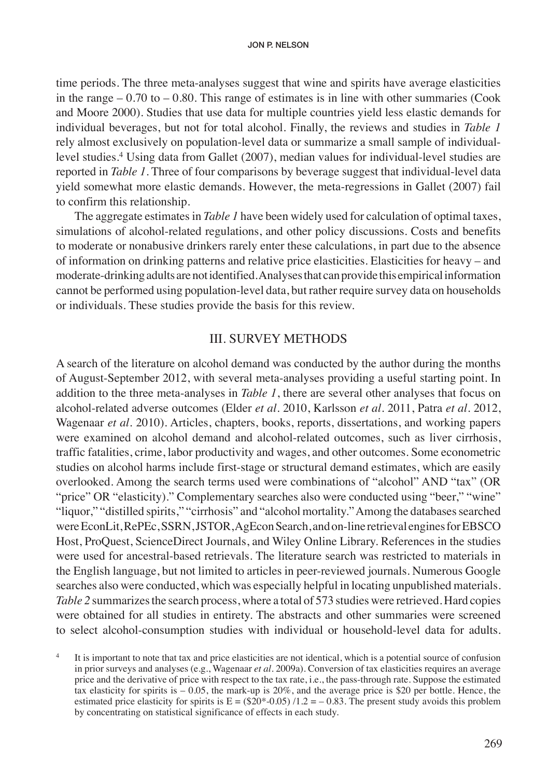time periods. The three meta-analyses suggest that wine and spirits have average elasticities in the range  $-0.70$  to  $-0.80$ . This range of estimates is in line with other summaries (Cook and Moore 2000). Studies that use data for multiple countries yield less elastic demands for individual beverages, but not for total alcohol. Finally, the reviews and studies in *Table 1*  rely almost exclusively on population-level data or summarize a small sample of individuallevel studies.4 Using data from Gallet (2007), median values for individual-level studies are reported in *Table 1*. Three of four comparisons by beverage suggest that individual-level data yield somewhat more elastic demands. However, the meta-regressions in Gallet (2007) fail to confirm this relationship.

The aggregate estimatesin *Table 1* have been widely used for calculation of optimal taxes, simulations of alcohol-related regulations, and other policy discussions. Costs and benefits to moderate or nonabusive drinkers rarely enter these calculations, in part due to the absence of information on drinking patterns and relative price elasticities. Elasticities for heavy – and moderate-drinkingadults arenotidentified.Analysesthat canprovide this empiricalinformation cannot be performed using population-level data, but rather require survey data on households or individuals. These studies provide the basis for this review.

### III. SURVEY METHODS

A search of the literature on alcohol demand was conducted by the author during the months of August-September 2012, with several meta-analyses providing a useful starting point. In addition to the three meta-analyses in *Table 1*, there are several other analyses that focus on alcohol-related adverse outcomes (Elder *et al.* 2010, Karlsson *et al.* 2011, Patra *et al.* 2012, Wagenaar *et al.* 2010). Articles, chapters, books, reports, dissertations, and working papers were examined on alcohol demand and alcohol-related outcomes, such as liver cirrhosis, traffic fatalities, crime, labor productivity and wages, and other outcomes. Some econometric studies on alcohol harms include first-stage or structural demand estimates, which are easily overlooked. Among the search terms used were combinations of "alcohol" AND "tax" (OR "price" OR "elasticity)." Complementary searches also were conducted using "beer," "wine" "liquor," "distilled spirits," "cirrhosis" and "alcohol mortality."Among the databasessearched were EconLit, RePEc, SSRN, JSTOR, AgEcon Search, and on-line retrieval engines for EBSCO Host, ProQuest, ScienceDirect Journals, and Wiley Online Library. References in the studies were used for ancestral-based retrievals. The literature search was restricted to materials in the English language, but not limited to articles in peer-reviewed journals. Numerous Google searches also were conducted, which was especially helpful in locating unpublished materials. Table 2 summarizes the search process, where a total of 573 studies were retrieved. Hard copies were obtained for all studies in entirety. The abstracts and other summaries were screened to select alcohol-consumption studies with individual or household-level data for adults.

It is important to note that tax and price elasticities are not identical, which is a potential source of confusion in prior surveys and analyses (e.g., Wagenaar *et al.* 2009a). Conversion of tax elasticities requires an average price and the derivative of price with respect to the tax rate, i.e., the pass-through rate. Suppose the estimated tax elasticity for spirits is – 0.05, the mark-up is 20%, and the average price is \$20 per bottle. Hence, the estimated price elasticity for spirits is  $E = (\$20*.005) / 1.2 = -0.83$ . The present study avoids this problem by concentrating on statistical significance of effects in each study.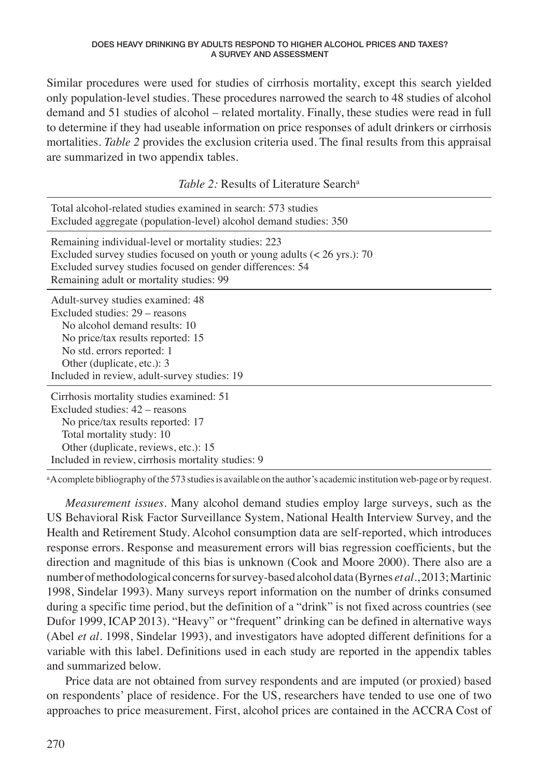Similar procedures were used for studies of cirrhosis mortality, except this search yielded only population-level studies. These procedures narrowed the search to 48 studies of alcohol demand and 51 studies of alcohol – related mortality. Finally, these studies were read in full to determine if they had useable information on price responses of adult drinkers or cirrhosis mortalities. *Table 2* provides the exclusion criteria used. The final results from this appraisal are summarized in two appendix tables.

| <i>Table 2</i> . Results of Literature Search                                                                                                                                                                                                         |
|-------------------------------------------------------------------------------------------------------------------------------------------------------------------------------------------------------------------------------------------------------|
| Total alcohol-related studies examined in search: 573 studies<br>Excluded aggregate (population-level) alcohol demand studies: 350                                                                                                                    |
| Remaining individual-level or mortality studies: 223<br>Excluded survey studies focused on youth or young adults $(< 26$ yrs.): 70<br>Excluded survey studies focused on gender differences: 54<br>Remaining adult or mortality studies: 99           |
| Adult-survey studies examined: 48<br>Excluded studies: 29 – reasons<br>No alcohol demand results: 10<br>No price/tax results reported: 15<br>No std. errors reported: 1<br>Other (duplicate, etc.): 3<br>Included in review, adult-survey studies: 19 |
| Cirrhosis mortality studies examined: 51<br>Excluded studies: $42 -$ reasons<br>No price/tax results reported: 17<br>Total mortality study: 10<br>Other (duplicate, reviews, etc.): 15<br>Included in review, cirrhosis mortality studies: 9          |

*Table 2:* Results of Literature Searcha

<sup>a</sup>A complete bibliography of the 573 studies is available on the author's academic institution web-page or by request.

*Measurement issues*. Many alcohol demand studies employ large surveys, such as the US Behavioral Risk Factor Surveillance System, National Health Interview Survey, and the Health and Retirement Study. Alcohol consumption data are self-reported, which introduces response errors. Response and measurement errors will bias regression coefficients, but the direction and magnitude of this bias is unknown (Cook and Moore 2000). There also are a numberofmethodological concernsforsurvey-basedalcoholdata (Byrnes *et al.*,2013;Martinic 1998, Sindelar 1993). Many surveys report information on the number of drinks consumed during a specific time period, but the definition of a "drink" is not fixed across countries (see Dufor 1999, ICAP 2013). "Heavy" or "frequent" drinking can be defined in alternative ways (Abel *et al.* 1998, Sindelar 1993), and investigators have adopted different definitions for a variable with this label. Definitions used in each study are reported in the appendix tables and summarized below.

Price data are not obtained from survey respondents and are imputed (or proxied) based on respondents' place of residence. For the US, researchers have tended to use one of two approaches to price measurement. First, alcohol prices are contained in the ACCRA Cost of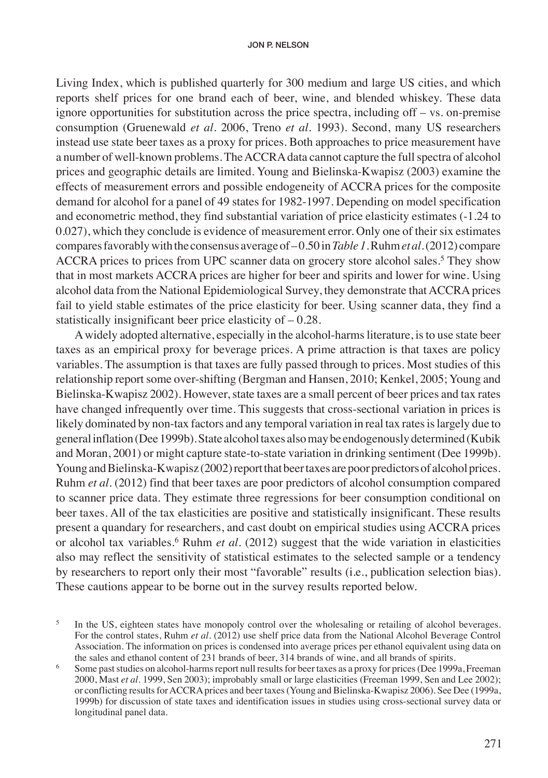Living Index, which is published quarterly for 300 medium and large US cities, and which reports shelf prices for one brand each of beer, wine, and blended whiskey. These data ignore opportunities for substitution across the price spectra, including off – vs. on-premise consumption (Gruenewald *et al.* 2006, Treno *et al.* 1993). Second, many US researchers instead use state beer taxes as a proxy for prices. Both approaches to price measurement have a number of well-known problems. The ACCRA data cannot capture the full spectra of alcohol prices and geographic details are limited. Young and Bielinska-Kwapisz (2003) examine the effects of measurement errors and possible endogeneity of ACCRA prices for the composite demand for alcohol for a panel of 49 states for 1982-1997. Depending on model specification and econometric method, they find substantial variation of price elasticity estimates (-1.24 to  $0.027$ ), which they conclude is evidence of measurement error. Only one of their six estimates comparesfavorablywiththe consensus averageof–0.50in*Table 1*.Ruhm*et al.*(2012) compare ACCRA prices to prices from UPC scanner data on grocery store alcohol sales.<sup>5</sup> They show that in most markets ACCRA prices are higher for beer and spirits and lower for wine. Using alcohol data from the National Epidemiological Survey, they demonstrate that ACCRA prices fail to yield stable estimates of the price elasticity for beer. Using scanner data, they find a statistically insignificant beer price elasticity of – 0.28.

Awidely adopted alternative, especially in the alcohol-harmsliterature, isto use state beer taxes as an empirical proxy for beverage prices. A prime attraction is that taxes are policy variables. The assumption is that taxes are fully passed through to prices. Most studies of this relationship report some over-shifting (Bergman and Hansen, 2010; Kenkel, 2005; Young and Bielinska-Kwapisz 2002). However, state taxes are a small percent of beer prices and tax rates have changed infrequently over time. This suggests that cross-sectional variation in prices is likely dominated by non-tax factors and any temporal variation in real tax rates is largely due to generalinflation(Dee1999b).State alcoholtaxes alsomaybe endogenouslydetermined(Kubik and Moran, 2001) or might capture state-to-state variation in drinking sentiment (Dee 1999b). Young and Bielinska-Kwapisz (2002) report that beer taxes are poor predictors of alcohol prices. Ruhm *et al.* (2012) find that beer taxes are poor predictors of alcohol consumption compared to scanner price data. They estimate three regressions for beer consumption conditional on beer taxes. All of the tax elasticities are positive and statistically insignificant. These results present a quandary for researchers, and cast doubt on empirical studies using ACCRA prices or alcohol tax variables.<sup>6</sup> Ruhm *et al.* (2012) suggest that the wide variation in elasticities also may reflect the sensitivity of statistical estimates to the selected sample or a tendency by researchers to report only their most "favorable" results (i.e., publication selection bias). These cautions appear to be borne out in the survey results reported below.

<sup>&</sup>lt;sup>5</sup> In the US, eighteen states have monopoly control over the wholesaling or retailing of alcohol beverages. For the control states, Ruhm *et al.* (2012) use shelf price data from the National Alcohol Beverage Control Association. The information on prices is condensed into average prices per ethanol equivalent using data on the sales and ethanol content of 231 brands of beer, 314 brands of wine, and all brands of spirits.

<sup>&</sup>lt;sup>6</sup> Some past studies on alcohol-harms report null results for beer taxes as a proxy for prices (Dee 1999a, Freeman 2000, Mast *et al.* 1999, Sen 2003); improbably small or large elasticities (Freeman 1999, Sen and Lee 2002); or conflicting resultsforACCRAprices and beer taxes(Young and Bielinska-Kwapisz 2006). See Dee (1999a, 1999b) for discussion of state taxes and identification issues in studies using cross-sectional survey data or longitudinal panel data.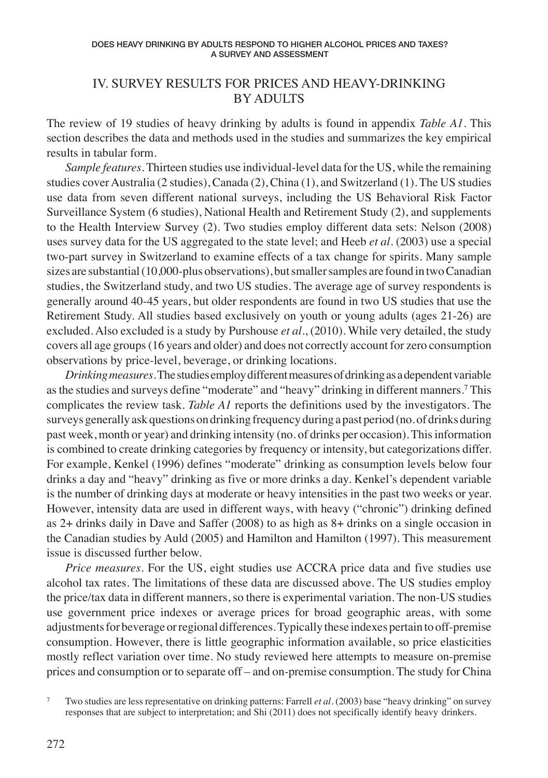### IV. SURVEY RESULTS FOR PRICES AND HEAVY-DRINKING BY ADULTS

The review of 19 studies of heavy drinking by adults is found in appendix *Table A1*. This section describes the data and methods used in the studies and summarizes the key empirical results in tabular form.

*Sample features.*Thirteen studies use individual-level data for the US, while the remaining studies coverAustralia (2 studies), Canada (2), China (1), and Switzerland (1). The US studies use data from seven different national surveys, including the US Behavioral Risk Factor Surveillance System (6 studies), National Health and Retirement Study (2), and supplements to the Health Interview Survey (2). Two studies employ different data sets: Nelson (2008) uses survey data for the US aggregated to the state level; and Heeb *et al.* (2003) use a special two-part survey in Switzerland to examine effects of a tax change for spirits. Many sample sizes are substantial (10,000-plus observations), but smaller samples are found in two Canadian studies, the Switzerland study, and two US studies. The average age of survey respondents is generally around 40-45 years, but older respondents are found in two US studies that use the Retirement Study. All studies based exclusively on youth or young adults (ages 21-26) are excluded. Also excluded is a study by Purshouse *et al.*, (2010). While very detailed, the study covers all age groups(16 years and older) and does not correctly account for zero consumption observations by price-level, beverage, or drinking locations.

*Drinking measures*.Thestudiesemploydifferentmeasuresofdrinkingasadependentvariable asthe studies and surveys define "moderate" and "heavy" drinking in different manners.7 This complicates the review task. *Table A1* reports the definitions used by the investigators. The surveys generally ask questions on drinking frequency during a past period (no. of drinks during past week, month or year) and drinking intensity (no. of drinks per occasion). Thisinformation is combined to create drinking categories by frequency or intensity, but categorizations differ. For example, Kenkel (1996) defines "moderate" drinking as consumption levels below four drinks a day and "heavy" drinking as five or more drinks a day. Kenkel's dependent variable is the number of drinking days at moderate or heavy intensities in the past two weeks or year. However, intensity data are used in different ways, with heavy ("chronic") drinking defined as 2+ drinks daily in Dave and Saffer (2008) to as high as 8+ drinks on a single occasion in the Canadian studies by Auld (2005) and Hamilton and Hamilton (1997). This measurement issue is discussed further below.

*Price measures.* For the US, eight studies use ACCRA price data and five studies use alcohol tax rates. The limitations of these data are discussed above. The US studies employ the price/tax data in different manners, so there is experimental variation. The non-US studies use government price indexes or average prices for broad geographic areas, with some adjustmentsfor beverage orregional differences.Typically these indexes pertain to off-premise consumption. However, there is little geographic information available, so price elasticities mostly reflect variation over time. No study reviewed here attempts to measure on-premise prices and consumption or to separate off – and on-premise consumption. The study for China

7 Two studies are less representative on drinking patterns: Farrell *et al.* (2003) base "heavy drinking" on survey responses that are subject to interpretation; and Shi (2011) does not specifically identify heavy drinkers.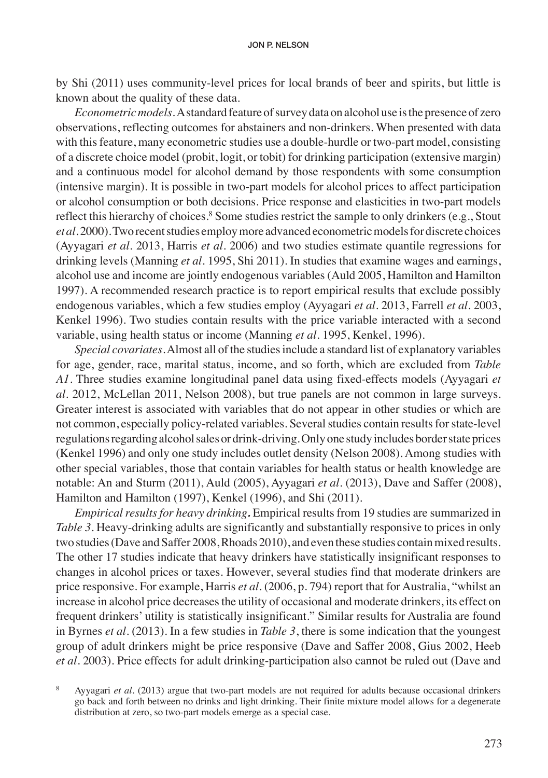by Shi (2011) uses community-level prices for local brands of beer and spirits, but little is known about the quality of these data.

*Econometric models*. A standard feature of survey data on alcohol use is the presence of zero observations, reflecting outcomes for abstainers and non-drinkers. When presented with data with this feature, many econometric studies use a double-hurdle or two-part model, consisting of a discrete choice model (probit, logit, or tobit) for drinking participation (extensive margin) and a continuous model for alcohol demand by those respondents with some consumption (intensive margin). It is possible in two-part models for alcohol prices to affect participation or alcohol consumption or both decisions. Price response and elasticities in two-part models reflect this hierarchy of choices.8 Some studies restrict the sample to only drinkers (e.g., Stout *et al.* 2000). Two recent studies employ more advanced econometric models for discrete choices (Ayyagari *et al.* 2013, Harris *et al.* 2006) and two studies estimate quantile regressions for drinking levels (Manning *et al.* 1995, Shi 2011). In studies that examine wages and earnings, alcohol use and income are jointly endogenous variables (Auld 2005, Hamilton and Hamilton 1997). A recommended research practice is to report empirical results that exclude possibly endogenous variables, which a few studies employ (Ayyagari *et al.* 2013, Farrell *et al.* 2003, Kenkel 1996). Two studies contain results with the price variable interacted with a second variable, using health status or income (Manning *et al.* 1995, Kenkel, 1996).

*Special covariates*. Almost all of the studies include a standard list of explanatory variables for age, gender, race, marital status, income, and so forth, which are excluded from *Table A1*. Three studies examine longitudinal panel data using fixed-effects models (Ayyagari *et al.* 2012, McLellan 2011, Nelson 2008), but true panels are not common in large surveys. Greater interest is associated with variables that do not appear in other studies or which are not common, especially policy-related variables. Several studies contain results for state-level regulations regarding alcohol sales or drink-driving. Only one study includes border state prices (Kenkel 1996) and only one study includes outlet density (Nelson 2008). Among studies with other special variables, those that contain variables for health status or health knowledge are notable: An and Sturm (2011), Auld (2005), Ayyagari *et al.* (2013), Dave and Saffer (2008), Hamilton and Hamilton (1997), Kenkel (1996), and Shi (2011).

*Empirical results for heavy drinking.* Empirical results from 19 studies are summarized in *Table 3.* Heavy-drinking adults are significantly and substantially responsive to prices in only two studies (Dave and Saffer 2008, Rhoads 2010), and even these studies contain mixed results. The other 17 studies indicate that heavy drinkers have statistically insignificant responses to changes in alcohol prices or taxes. However, several studies find that moderate drinkers are price responsive. For example, Harris *et al.* (2006, p. 794) report that for Australia, "whilst an increase in alcohol price decreasesthe utility of occasional and moderate drinkers, its effect on frequent drinkers' utility is statistically insignificant." Similar results for Australia are found in Byrnes *et al.* (2013). In a few studies in *Table 3*, there is some indication that the youngest group of adult drinkers might be price responsive (Dave and Saffer 2008, Gius 2002, Heeb *et al.* 2003). Price effects for adult drinking-participation also cannot be ruled out (Dave and

<sup>8</sup> Ayyagari *et al.* (2013) argue that two-part models are not required for adults because occasional drinkers go back and forth between no drinks and light drinking. Their finite mixture model allows for a degenerate distribution at zero, so two-part models emerge as a special case.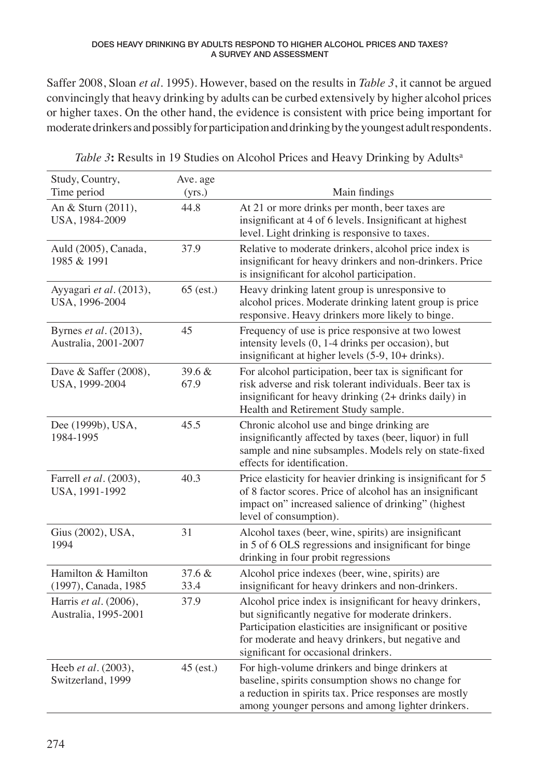Saffer 2008, Sloan *et al.* 1995). However, based on the results in *Table 3*, it cannot be argued convincingly that heavy drinking by adults can be curbed extensively by higher alcohol prices or higher taxes. On the other hand, the evidence is consistent with price being important for moderate drinkers and possibly for participation and drinking by the youngest adult respondents.

| Study, Country,<br>Time period                | Ave. age<br>(yrs.) | Main findings                                                                                                                                                                                                                                                          |
|-----------------------------------------------|--------------------|------------------------------------------------------------------------------------------------------------------------------------------------------------------------------------------------------------------------------------------------------------------------|
| An & Sturn (2011),<br>USA, 1984-2009          | 44.8               | At 21 or more drinks per month, beer taxes are<br>insignificant at 4 of 6 levels. Insignificant at highest<br>level. Light drinking is responsive to taxes.                                                                                                            |
| Auld (2005), Canada,<br>1985 & 1991           | 37.9               | Relative to moderate drinkers, alcohol price index is<br>insignificant for heavy drinkers and non-drinkers. Price<br>is insignificant for alcohol participation.                                                                                                       |
| Ayyagari et al. (2013),<br>USA, 1996-2004     | 65 (est.)          | Heavy drinking latent group is unresponsive to<br>alcohol prices. Moderate drinking latent group is price<br>responsive. Heavy drinkers more likely to binge.                                                                                                          |
| Byrnes et al. (2013),<br>Australia, 2001-2007 | 45                 | Frequency of use is price responsive at two lowest<br>intensity levels (0, 1-4 drinks per occasion), but<br>insignificant at higher levels (5-9, 10+ drinks).                                                                                                          |
| Dave & Saffer (2008),<br>USA, 1999-2004       | 39.6 &<br>67.9     | For alcohol participation, beer tax is significant for<br>risk adverse and risk tolerant individuals. Beer tax is<br>insignificant for heavy drinking $(2+$ drinks daily) in<br>Health and Retirement Study sample.                                                    |
| Dee (1999b), USA,<br>1984-1995                | 45.5               | Chronic alcohol use and binge drinking are<br>insignificantly affected by taxes (beer, liquor) in full<br>sample and nine subsamples. Models rely on state-fixed<br>effects for identification.                                                                        |
| Farrell et al. (2003),<br>USA, 1991-1992      | 40.3               | Price elasticity for heavier drinking is insignificant for 5<br>of 8 factor scores. Price of alcohol has an insignificant<br>impact on" increased salience of drinking" (highest<br>level of consumption).                                                             |
| Gius (2002), USA,<br>1994                     | 31                 | Alcohol taxes (beer, wine, spirits) are insignificant<br>in 5 of 6 OLS regressions and insignificant for binge<br>drinking in four probit regressions                                                                                                                  |
| Hamilton & Hamilton<br>(1997), Canada, 1985   | $37.6 \&$<br>33.4  | Alcohol price indexes (beer, wine, spirits) are<br>insignificant for heavy drinkers and non-drinkers.                                                                                                                                                                  |
| Harris et al. (2006),<br>Australia, 1995-2001 | 37.9               | Alcohol price index is insignificant for heavy drinkers,<br>but significantly negative for moderate drinkers.<br>Participation elasticities are insignificant or positive<br>for moderate and heavy drinkers, but negative and<br>significant for occasional drinkers. |
| Heeb et al. (2003),<br>Switzerland, 1999      | 45 (est.)          | For high-volume drinkers and binge drinkers at<br>baseline, spirits consumption shows no change for<br>a reduction in spirits tax. Price responses are mostly<br>among younger persons and among lighter drinkers.                                                     |

*Table 3***:** Results in 19 Studies on Alcohol Prices and Heavy Drinking by Adults<sup>a</sup>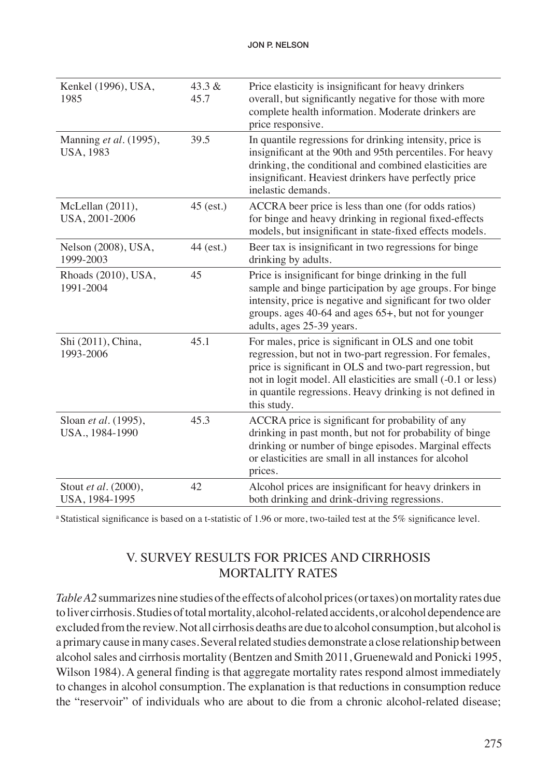| Kenkel (1996), USA,<br>1985                | $43.3 \&$<br>45.7 | Price elasticity is insignificant for heavy drinkers<br>overall, but significantly negative for those with more<br>complete health information. Moderate drinkers are<br>price responsive.                                                                                                                                |
|--------------------------------------------|-------------------|---------------------------------------------------------------------------------------------------------------------------------------------------------------------------------------------------------------------------------------------------------------------------------------------------------------------------|
| Manning et al. (1995),<br><b>USA, 1983</b> | 39.5              | In quantile regressions for drinking intensity, price is<br>insignificant at the 90th and 95th percentiles. For heavy<br>drinking, the conditional and combined elasticities are<br>insignificant. Heaviest drinkers have perfectly price<br>inelastic demands.                                                           |
| McLellan (2011),<br>USA, 2001-2006         | $45$ (est.)       | ACCRA beer price is less than one (for odds ratios)<br>for binge and heavy drinking in regional fixed-effects<br>models, but insignificant in state-fixed effects models.                                                                                                                                                 |
| Nelson (2008), USA,<br>1999-2003           | 44 (est.)         | Beer tax is insignificant in two regressions for binge<br>drinking by adults.                                                                                                                                                                                                                                             |
| Rhoads (2010), USA,<br>1991-2004           | 45                | Price is insignificant for binge drinking in the full<br>sample and binge participation by age groups. For binge<br>intensity, price is negative and significant for two older<br>groups. ages 40-64 and ages 65+, but not for younger<br>adults, ages 25-39 years.                                                       |
| Shi (2011), China,<br>1993-2006            | 45.1              | For males, price is significant in OLS and one tobit<br>regression, but not in two-part regression. For females,<br>price is significant in OLS and two-part regression, but<br>not in logit model. All elasticities are small (-0.1 or less)<br>in quantile regressions. Heavy drinking is not defined in<br>this study. |
| Sloan et al. (1995),<br>USA., 1984-1990    | 45.3              | ACCRA price is significant for probability of any<br>drinking in past month, but not for probability of binge<br>drinking or number of binge episodes. Marginal effects<br>or elasticities are small in all instances for alcohol<br>prices.                                                                              |
| Stout et al. (2000),<br>USA, 1984-1995     | 42                | Alcohol prices are insignificant for heavy drinkers in<br>both drinking and drink-driving regressions.                                                                                                                                                                                                                    |

<sup>a</sup> Statistical significance is based on a t-statistic of 1.96 or more, two-tailed test at the 5% significance level.

# V. SURVEY RESULTS FOR PRICES AND CIRRHOSIS MORTALITY RATES

Table A2 summarizes nine studies of the effects of alcohol prices (or taxes) on mortality rates due to liver cirrhosis. Studies of total mortality, alcohol-related accidents, or alcohol dependence are excluded fromthe review.Not all cirrhosis deaths are due to alcohol consumption, but alcoholis a primary cause in many cases. Several related studies demonstrate a close relationship between alcoholsales and cirrhosis mortality (Bentzen and Smith 2011, Gruenewald and Ponicki 1995, Wilson 1984). A general finding is that aggregate mortality rates respond almost immediately to changes in alcohol consumption. The explanation is that reductions in consumption reduce the "reservoir" of individuals who are about to die from a chronic alcohol-related disease;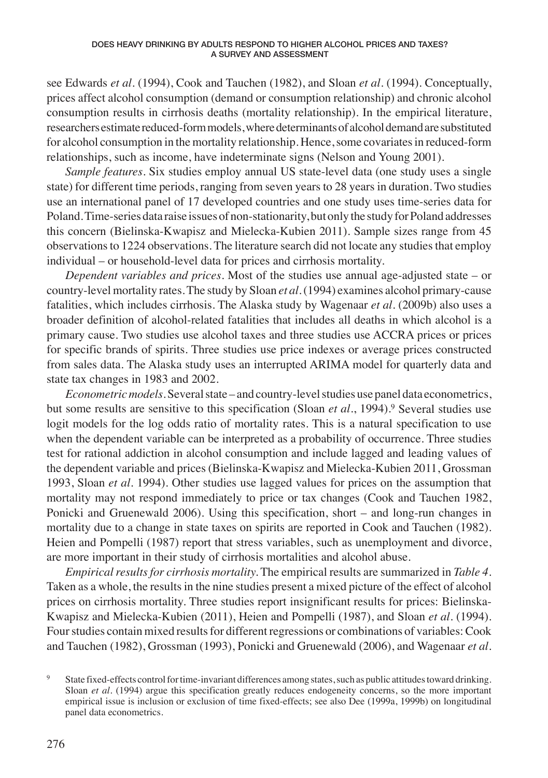see Edwards *et al.* (1994), Cook and Tauchen (1982), and Sloan *et al.* (1994). Conceptually, prices affect alcohol consumption (demand or consumption relationship) and chronic alcohol consumption results in cirrhosis deaths (mortality relationship). In the empirical literature, researchersestimatereduced-formmodels,wheredeterminantsofalcoholdemandaresubstituted for alcohol consumption in the mortality relationship. Hence, some covariates in reduced-form relationships, such as income, have indeterminate signs (Nelson and Young 2001).

*Sample features.* Six studies employ annual US state-level data (one study uses a single state) for different time periods, ranging from seven years to 28 years in duration. Two studies use an international panel of 17 developed countries and one study uses time-series data for Poland.Time-series data raise issues of non-stationarity, but only the study forPoland addresses this concern (Bielinska-Kwapisz and Mielecka-Kubien 2011). Sample sizes range from 45 observationsto 1224 observations. The literature search did not locate any studiesthat employ individual – or household-level data for prices and cirrhosis mortality.

*Dependent variables and prices.* Most of the studies use annual age-adjusted state – or country-level mortality rates.The study by Sloan *et al.*(1994) examines alcohol primary-cause fatalities, which includes cirrhosis. The Alaska study by Wagenaar *et al.* (2009b) also uses a broader definition of alcohol-related fatalities that includes all deaths in which alcohol is a primary cause. Two studies use alcohol taxes and three studies use ACCRA prices or prices for specific brands of spirits. Three studies use price indexes or average prices constructed from sales data. The Alaska study uses an interrupted ARIMA model for quarterly data and state tax changes in 1983 and 2002.

*Econometric models*. Several state – and country-level studies use panel data econometrics, but some results are sensitive to this specification (Sloan *et al.*, 1994).<sup>9</sup> Several studies use logit models for the log odds ratio of mortality rates. This is a natural specification to use when the dependent variable can be interpreted as a probability of occurrence. Three studies test for rational addiction in alcohol consumption and include lagged and leading values of the dependent variable and prices (Bielinska-Kwapisz and Mielecka-Kubien 2011, Grossman 1993, Sloan *et al.* 1994). Other studies use lagged values for prices on the assumption that mortality may not respond immediately to price or tax changes (Cook and Tauchen 1982, Ponicki and Gruenewald 2006). Using this specification, short – and long-run changes in mortality due to a change in state taxes on spirits are reported in Cook and Tauchen (1982). Heien and Pompelli (1987) report that stress variables, such as unemployment and divorce, are more important in their study of cirrhosis mortalities and alcohol abuse.

*Empirical results for cirrhosis mortality.* The empirical results are summarized in *Table 4*. Taken as a whole, the results in the nine studies present a mixed picture of the effect of alcohol prices on cirrhosis mortality. Three studies report insignificant results for prices: Bielinska-Kwapisz and Mielecka-Kubien (2011), Heien and Pompelli (1987), and Sloan *et al.* (1994). Fourstudies contain mixed resultsfor differentregressions or combinations of variables:Cook and Tauchen (1982), Grossman (1993), Ponicki and Gruenewald (2006), and Wagenaar *et al.*

<sup>&</sup>lt;sup>9</sup> State fixed-effects control for time-invariant differences among states, such as public attitudes toward drinking. Sloan *et al.* (1994) argue this specification greatly reduces endogeneity concerns, so the more important empirical issue is inclusion or exclusion of time fixed-effects; see also Dee (1999a, 1999b) on longitudinal panel data econometrics.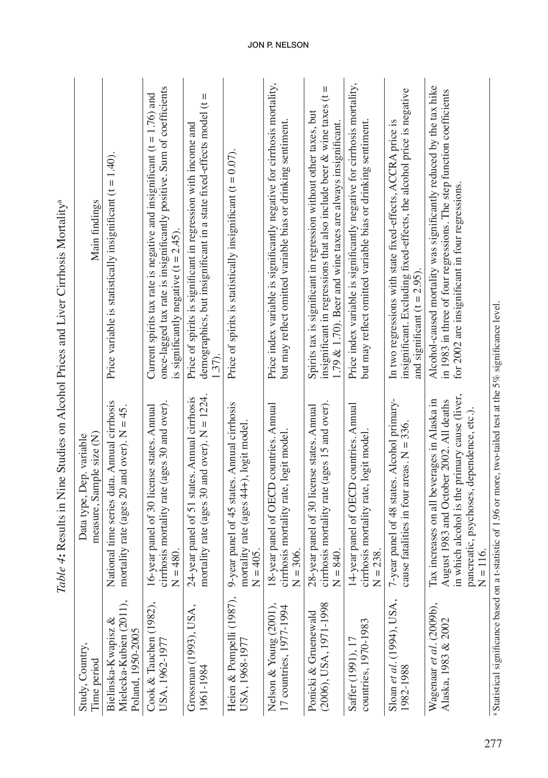| Heien & Pompelli (1987),<br>Mielecka-Kubien (2011),<br>Cook & Tauchen (1982),<br>Grossman (1993), USA,<br>Bielinska-Kwapisz &<br>Poland, 1950-2005<br>USA, 1962-1977<br>USA, 1968-1977<br>Study, Country,<br>Time period<br>1961-1984 | 24-year panel of 51 states. Annual cirrhosis<br>mortality rate (ages 30 and over). $N = 1224$<br>National time series data. Annual cirrhosis<br>cirrhosis mortality rate (ages 30 and over).<br>9-year panel of 45 states. Annual cirrhosis<br>mortality rate (ages 20 and over). $N = 45$ .<br>16-year panel of 30 license states. Annual<br>mortality rate (ages 44+), logit model<br>measure, Sample size (N)<br>Data type, Dep. variable<br>$N = 480$<br>$N = 405$ . | once-lagged tax rate is insignificantly positive. Sum of coefficients<br>Current spirits tax rate is negative and insignificant $(t = 1.76)$ and<br>demographics, but insignificant in a state fixed-effects model (t =<br>Price of spirits is significant in regression with income and<br>Price of spirits is statistically insignificant ( $t = 0.07$ ).<br>Price variable is statistically insignificant $(t = 1.40)$ .<br>Main findings<br>is significantly negative $(t = 2.45)$ .<br>$1.37$ ). |
|---------------------------------------------------------------------------------------------------------------------------------------------------------------------------------------------------------------------------------------|--------------------------------------------------------------------------------------------------------------------------------------------------------------------------------------------------------------------------------------------------------------------------------------------------------------------------------------------------------------------------------------------------------------------------------------------------------------------------|-------------------------------------------------------------------------------------------------------------------------------------------------------------------------------------------------------------------------------------------------------------------------------------------------------------------------------------------------------------------------------------------------------------------------------------------------------------------------------------------------------|
| (2006), USA, 1971-1998<br>Nelson & Young (2001),<br>17 countries, 1977-1994<br>Ponicki & Gruenewald                                                                                                                                   | cirrhosis mortality rate (ages 15 and over).<br>18-year panel of OECD countries. Annual<br>28-year panel of 30 license states. Annual<br>cirrhosis mortality rate, logit model.<br>840.<br>$N = 306$ .<br>$\frac{1}{Z}$                                                                                                                                                                                                                                                  | Price index variable is significantly negative for cirrhosis mortality,<br>insignificant in regressions that also include beer $&$ wine taxes (t =<br>Spirits tax is significant in regression without other taxes, but<br>but may reflect omitted variable bias or drinking sentiment.<br>1.79 & 1.70). Beer and wine taxes are always insignificant.                                                                                                                                                |
| countries, 1970-1983<br>Saffer (1991), 17                                                                                                                                                                                             | 14-year panel of OECD countries. Annual<br>cirrhosis mortality rate, logit model.<br>238.<br>$\frac{1}{Z}$                                                                                                                                                                                                                                                                                                                                                               | Price index variable is significantly negative for cirrhosis mortality,<br>but may reflect omitted variable bias or drinking sentiment.                                                                                                                                                                                                                                                                                                                                                               |
| Sloan et al. (1994), USA,<br>1982-1988                                                                                                                                                                                                | 7-year panel of 48 states. Alcohol primary-<br>cause fatalities in four areas. $N = 336$ .                                                                                                                                                                                                                                                                                                                                                                               | insignificant. Excluding fixed-effects, the alcohol price is negative<br>In two regressions with state fixed-effects, ACCRA price is<br>and significant ( $t = 2.95$ ).                                                                                                                                                                                                                                                                                                                               |
| Wagenaar et al. (2009b),<br>Alaska, 1983 & 2002                                                                                                                                                                                       | in which alcohol is the primary cause (liver,<br>increases on all beverages in Alaska in<br>August 1983 and October 2002. All deaths<br>pancreatic, psychoses, dependence, etc.).<br>$N = 116.$<br>Tax                                                                                                                                                                                                                                                                   | Alcohol-caused mortality was significantly reduced by the tax hike<br>in 1983 in three of four regressions. The step function coefficients<br>for 2002 are insignificant in four regressions                                                                                                                                                                                                                                                                                                          |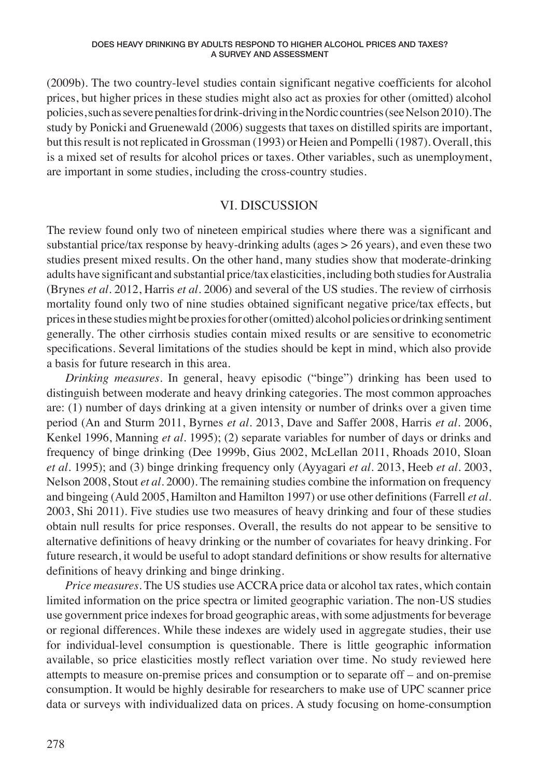(2009b). The two country-level studies contain significant negative coefficients for alcohol prices, but higher prices in these studies might also act as proxies for other (omitted) alcohol policies, such as severe penalties for drink-driving in the Nordic countries (see Nelson 2010). The study by Ponicki and Gruenewald (2006) suggests that taxes on distilled spirits are important, but thisresult is not replicated in Grossman (1993) or Heien and Pompelli (1987). Overall, this is a mixed set of results for alcohol prices or taxes. Other variables, such as unemployment, are important in some studies, including the cross-country studies.

### VI. DISCUSSION

The review found only two of nineteen empirical studies where there was a significant and substantial price/tax response by heavy-drinking adults (ages  $>$  26 years), and even these two studies present mixed results. On the other hand, many studies show that moderate-drinking adults have significant and substantial price/tax elasticities, including both studies for Australia (Brynes *et al.* 2012, Harris *et al.* 2006) and several of the US studies. The review of cirrhosis mortality found only two of nine studies obtained significant negative price/tax effects, but prices in these studies might be proxies for other (omitted) alcohol policies or drinking sentiment generally. The other cirrhosis studies contain mixed results or are sensitive to econometric specifications. Several limitations of the studies should be kept in mind, which also provide a basis for future research in this area.

*Drinking measures*. In general, heavy episodic ("binge") drinking has been used to distinguish between moderate and heavy drinking categories. The most common approaches are: (1) number of days drinking at a given intensity or number of drinks over a given time period (An and Sturm 2011, Byrnes *et al.* 2013, Dave and Saffer 2008, Harris *et al.* 2006, Kenkel 1996, Manning *et al.* 1995); (2) separate variables for number of days or drinks and frequency of binge drinking (Dee 1999b, Gius 2002, McLellan 2011, Rhoads 2010, Sloan *et al.* 1995); and (3) binge drinking frequency only (Ayyagari *et al.* 2013, Heeb *et al.* 2003, Nelson 2008, Stout *et al.* 2000). The remaining studies combine the information on frequency and bingeing (Auld 2005, Hamilton and Hamilton 1997) or use other definitions (Farrell *et al.* 2003, Shi 2011). Five studies use two measures of heavy drinking and four of these studies obtain null results for price responses. Overall, the results do not appear to be sensitive to alternative definitions of heavy drinking or the number of covariates for heavy drinking. For future research, it would be useful to adopt standard definitions or show results for alternative definitions of heavy drinking and binge drinking.

*Price measures*. The US studies use ACCRA price data or alcohol tax rates, which contain limited information on the price spectra or limited geographic variation. The non-US studies use government price indexesfor broad geographic areas, with some adjustmentsfor beverage or regional differences. While these indexes are widely used in aggregate studies, their use for individual-level consumption is questionable. There is little geographic information available, so price elasticities mostly reflect variation over time. No study reviewed here attempts to measure on-premise prices and consumption or to separate off – and on-premise consumption. It would be highly desirable for researchers to make use of UPC scanner price data or surveys with individualized data on prices. A study focusing on home-consumption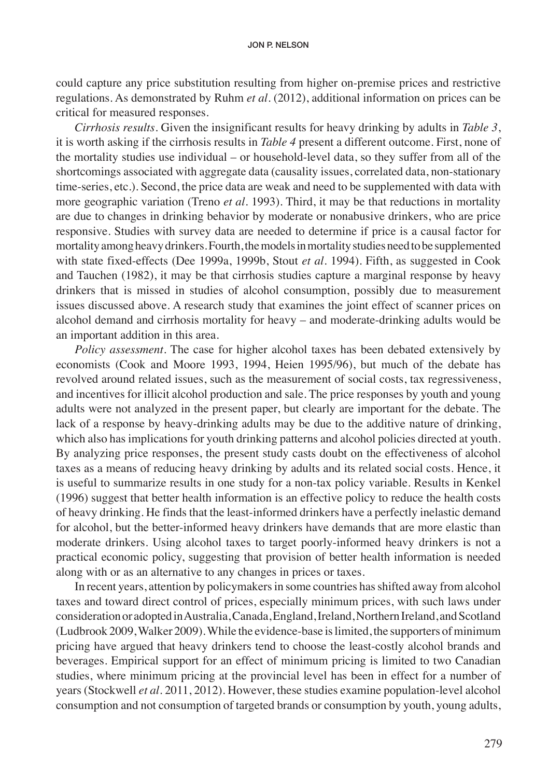could capture any price substitution resulting from higher on-premise prices and restrictive regulations. As demonstrated by Ruhm *et al.* (2012), additional information on prices can be critical for measured responses.

*Cirrhosis results*. Given the insignificant results for heavy drinking by adults in *Table 3*, it is worth asking if the cirrhosis results in *Table 4* present a different outcome. First, none of the mortality studies use individual – or household-level data, so they suffer from all of the shortcomings associated with aggregate data (causality issues, correlated data, non-stationary time-series, etc.). Second, the price data are weak and need to be supplemented with data with more geographic variation (Treno *et al.* 1993). Third, it may be that reductions in mortality are due to changes in drinking behavior by moderate or nonabusive drinkers, who are price responsive. Studies with survey data are needed to determine if price is a causal factor for mortality among heavy drinkers. Fourth, the models in mortality studies need to be supplemented with state fixed-effects (Dee 1999a, 1999b, Stout *et al.* 1994). Fifth, as suggested in Cook and Tauchen (1982), it may be that cirrhosis studies capture a marginal response by heavy drinkers that is missed in studies of alcohol consumption, possibly due to measurement issues discussed above. A research study that examines the joint effect of scanner prices on alcohol demand and cirrhosis mortality for heavy – and moderate-drinking adults would be an important addition in this area.

*Policy assessment*. The case for higher alcohol taxes has been debated extensively by economists (Cook and Moore 1993, 1994, Heien 1995/96), but much of the debate has revolved around related issues, such as the measurement of social costs, tax regressiveness, and incentives for illicit alcohol production and sale. The price responses by youth and young adults were not analyzed in the present paper, but clearly are important for the debate. The lack of a response by heavy-drinking adults may be due to the additive nature of drinking, which also has implications for youth drinking patterns and alcohol policies directed at youth. By analyzing price responses, the present study casts doubt on the effectiveness of alcohol taxes as a means of reducing heavy drinking by adults and its related social costs. Hence, it is useful to summarize results in one study for a non-tax policy variable. Results in Kenkel (1996) suggest that better health information is an effective policy to reduce the health costs of heavy drinking. He finds that the least-informed drinkers have a perfectly inelastic demand for alcohol, but the better-informed heavy drinkers have demands that are more elastic than moderate drinkers. Using alcohol taxes to target poorly-informed heavy drinkers is not a practical economic policy, suggesting that provision of better health information is needed along with or as an alternative to any changes in prices or taxes.

In recent years, attention by policymakersin some countries hasshifted away from alcohol taxes and toward direct control of prices, especially minimum prices, with such laws under consideration or adopted in Australia, Canada, England, Ireland, Northern Ireland, and Scotland (Ludbrook 2009,Walker 2009).While the evidence-base islimited, the supporters ofminimum pricing have argued that heavy drinkers tend to choose the least-costly alcohol brands and beverages. Empirical support for an effect of minimum pricing is limited to two Canadian studies, where minimum pricing at the provincial level has been in effect for a number of years (Stockwell *et al.* 2011, 2012). However, these studies examine population-level alcohol consumption and not consumption of targeted brands or consumption by youth, young adults,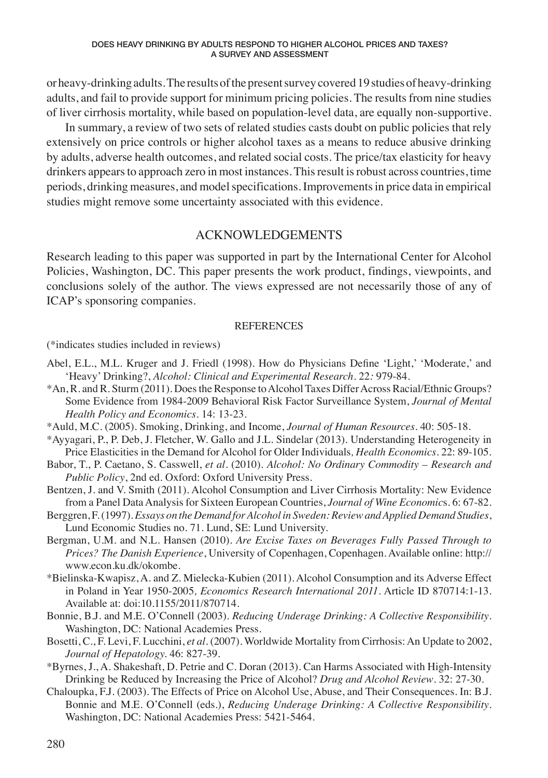or heavy-drinking adults.The results ofthepresentsurvey covered 19 studies of heavy-drinking adults, and fail to provide support for minimum pricing policies. The results from nine studies of liver cirrhosis mortality, while based on population-level data, are equally non-supportive.

In summary, a review of two sets of related studies casts doubt on public policies that rely extensively on price controls or higher alcohol taxes as a means to reduce abusive drinking by adults, adverse health outcomes, and related social costs. The price/tax elasticity for heavy drinkers appears to approach zero in most instances. This result is robust across countries, time periods, drinking measures, and model specifications. Improvements in price data in empirical studies might remove some uncertainty associated with this evidence.

### ACKNOWLEDGEMENTS

Research leading to this paper was supported in part by the International Center for Alcohol Policies, Washington, DC. This paper presents the work product, findings, viewpoints, and conclusions solely of the author. The views expressed are not necessarily those of any of ICAP's sponsoring companies.

#### **REFERENCES**

(\*indicates studies included in reviews)

- Abel, E.L., M.L. Kruger and J. Friedl (1998). How do Physicians Define 'Light,' 'Moderate,' and 'Heavy' Drinking?, *Alcohol: Clinical and Experimental Research.* 22*:* 979-84.
- \*An, R. and R. Sturm (2011). Does the Response to Alcohol Taxes Differ Across Racial/Ethnic Groups? Some Evidence from 1984-2009 Behavioral Risk Factor Surveillance System, *Journal of Mental Health Policy and Economics*. 14: 13-23.
- \*Auld, M.C. (2005). Smoking, Drinking, and Income, *Journal of Human Resources*. 40: 505-18.
- \*Ayyagari, P., P. Deb, J. Fletcher, W. Gallo and J.L. Sindelar (2013). Understanding Heterogeneity in Price Elasticities in the Demand for Alcohol for Older Individuals*, Health Economics*. 22: 89-105.
- Babor, T., P. Caetano, S. Casswell, *et al.* (2010). *Alcohol: No Ordinary Commodity Research and Public Policy*, 2nd ed. Oxford: Oxford University Press.
- Bentzen, J. and V. Smith (2011). Alcohol Consumption and Liver Cirrhosis Mortality: New Evidence from a Panel Data Analysis for Sixteen European Countries, *Journal of Wine Economic*s. 6: 67-82.
- Berggren, F.(1997).*Essays on the Demand for Alcohol in Sweden: Review and Applied Demand Studies*, Lund Economic Studies no. 71. Lund, SE: Lund University.
- Bergman, U.M. and N.L. Hansen (2010). *Are Excise Taxes on Beverages Fully Passed Through to Prices? The Danish Experience*, University of Copenhagen, Copenhagen. Available online: http:// www.econ.ku.dk/okombe.
- \*Bielinska-Kwapisz, A. and Z. Mielecka-Kubien (2011). Alcohol Consumption and its Adverse Effect in Poland in Year 1950-2005*, Economics Research International 2011*. Article ID 870714:1-13. Available at: doi:10.1155/2011/870714.
- Bonnie, B.J. and M.E. O'Connell (2003). *Reducing Underage Drinking: A Collective Responsibility*. Washington, DC: National Academies Press.
- Bosetti, C., F. Levi, F. Lucchini, *et al.* (2007). Worldwide Mortality from Cirrhosis:An Update to 2002, *Journal of Hepatology.* 46: 827-39.
- \*Byrnes, J., A. Shakeshaft, D. Petrie and C. Doran (2013). Can Harms Associated with High-Intensity Drinking be Reduced by Increasing the Price of Alcohol? *Drug and Alcohol Review*. 32: 27-30.
- Chaloupka, F.J. (2003). The Effects of Price on Alcohol Use, Abuse, and Their Consequences. In: B.J. Bonnie and M.E. O'Connell (eds.), *Reducing Underage Drinking: A Collective Responsibility*. Washington, DC: National Academies Press: 5421-5464.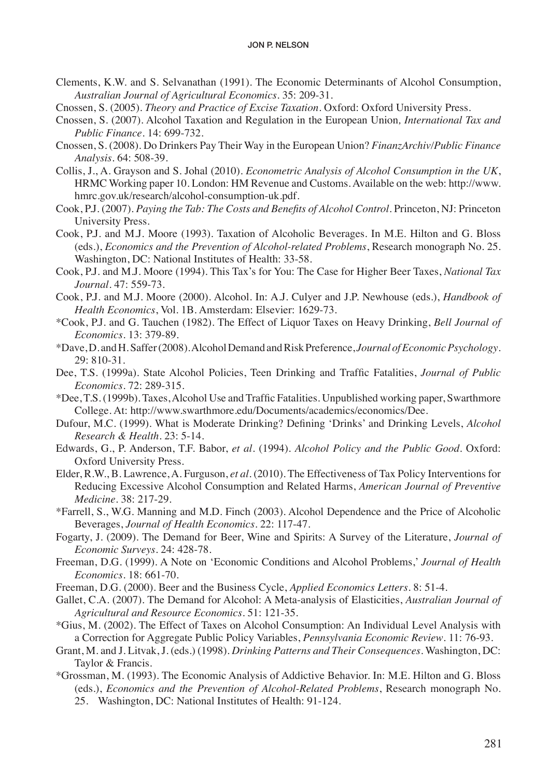- Clements, K.W. and S. Selvanathan (1991). The Economic Determinants of Alcohol Consumption, *Australian Journal of Agricultural Economics*. 35: 209-31.
- Cnossen, S. (2005). *Theory and Practice of Excise Taxation*. Oxford: Oxford University Press.
- Cnossen, S. (2007). Alcohol Taxation and Regulation in the European Union*, International Tax and Public Finance*. 14: 699-732.
- Cnossen, S. (2008). Do Drinkers Pay Their Way in the European Union? *FinanzArchiv/Public Finance Analysis.* 64: 508-39.
- Collis, J., A. Grayson and S. Johal (2010). *Econometric Analysis of Alcohol Consumption in the UK*, HRMC Working paper 10. London: HM Revenue and Customs. Available on the web: http://www. hmrc.gov.uk/research/alcohol-consumption-uk.pdf.
- Cook, P.J. (2007). *Paying the Tab: The Costs and Benefits of Alcohol Control*. Princeton, NJ: Princeton University Press.
- Cook, P.J. and M.J. Moore (1993). Taxation of Alcoholic Beverages. In M.E. Hilton and G. Bloss (eds.), *Economics and the Prevention of Alcohol-related Problems*, Research monograph No. 25. Washington, DC: National Institutes of Health: 33-58.
- Cook, P.J. and M.J. Moore (1994). This Tax's for You: The Case for Higher Beer Taxes, *National Tax Journal*. 47: 559-73.
- Cook, P.J. and M.J. Moore (2000). Alcohol. In: A.J. Culyer and J.P. Newhouse (eds.), *Handbook of Health Economics*, Vol. 1B. Amsterdam: Elsevier: 1629-73.
- \*Cook, P.J. and G. Tauchen (1982). The Effect of Liquor Taxes on Heavy Drinking, *Bell Journal of Economics*. 13: 379-89.
- \*Dave,D. andH.Saffer(2008).AlcoholDemand andRiskPreference, *Journal of Economic Psychology*. 29: 810-31.
- Dee, T.S. (1999a). State Alcohol Policies, Teen Drinking and Traffic Fatalities, *Journal of Public Economics*. 72: 289-315.
- \*Dee, T.S. (1999b). Taxes,Alcohol Use and Traffic Fatalities. Unpublished working paper, Swarthmore College. At: http://www.swarthmore.edu/Documents/academics/economics/Dee.
- Dufour, M.C. (1999). What is Moderate Drinking? Defining 'Drinks' and Drinking Levels, *Alcohol Research & Health*. 23: 5-14.
- Edwards, G., P. Anderson, T.F. Babor, *et al.* (1994). *Alcohol Policy and the Public Good*. Oxford: Oxford University Press.
- Elder, R.W., B. Lawrence,A. Furguson, *et al.* (2010). The Effectiveness of Tax Policy Interventions for Reducing Excessive Alcohol Consumption and Related Harms, *American Journal of Preventive Medicine*. 38: 217-29.
- \*Farrell, S., W.G. Manning and M.D. Finch (2003). Alcohol Dependence and the Price of Alcoholic Beverages, *Journal of Health Economics*. 22: 117-47.
- Fogarty, J. (2009). The Demand for Beer, Wine and Spirits: A Survey of the Literature, *Journal of Economic Surveys*. 24: 428-78.
- Freeman, D.G. (1999). A Note on 'Economic Conditions and Alcohol Problems,' *Journal of Health Economics*. 18: 661-70.
- Freeman, D.G. (2000). Beer and the Business Cycle, *Applied Economics Letters*. 8: 51-4.
- Gallet, C.A. (2007). The Demand for Alcohol: A Meta-analysis of Elasticities, *Australian Journal of Agricultural and Resource Economics*. 51: 121-35.
- \*Gius, M. (2002). The Effect of Taxes on Alcohol Consumption: An Individual Level Analysis with a Correction for Aggregate Public Policy Variables, *Pennsylvania Economic Review*. 11: 76-93.
- Grant, M. and J. Litvak, J. (eds.) (1998). *Drinking Patterns and Their Consequences*. Washington, DC: Taylor & Francis.
- \*Grossman, M. (1993). The Economic Analysis of Addictive Behavior. In: M.E. Hilton and G. Bloss (eds.), *Economics and the Prevention of Alcohol-Related Problems*, Research monograph No. 25. Washington, DC: National Institutes of Health: 91-124.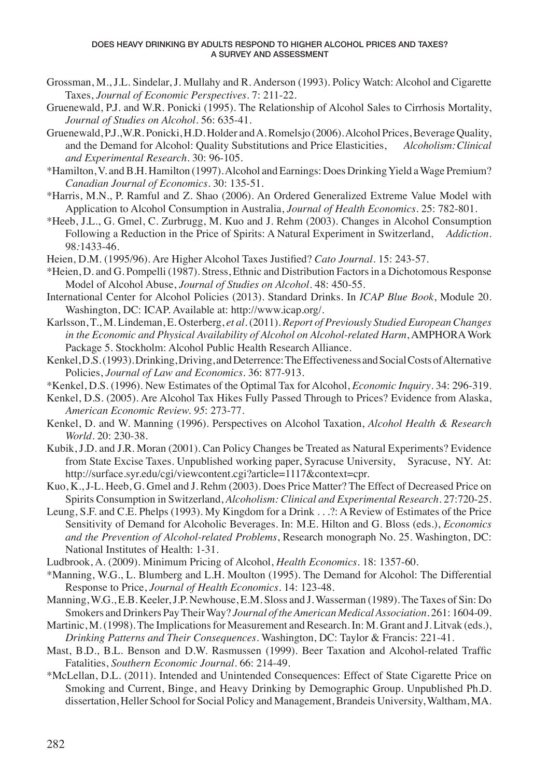- Grossman, M., J.L. Sindelar, J. Mullahy and R. Anderson (1993). Policy Watch: Alcohol and Cigarette Taxes, *Journal of Economic Perspectives*. 7: 211-22.
- Gruenewald, P.J. and W.R. Ponicki (1995). The Relationship of Alcohol Sales to Cirrhosis Mortality, *Journal of Studies on Alcohol*. 56: 635-41.
- Gruenewald, P.J.,W.R. Ponicki, H.D. Holder and A. Romelsjo (2006). Alcohol Prices, Beverage Quality, and the Demand for Alcohol: Quality Substitutions and Price Elasticities, *Alcoholism: Clinical and Experimental Research*. 30: 96-105.
- \*Hamilton,V. andB.H. Hamilton (1997).Alcohol andEarnings: Does DrinkingYield aWage Premium? *Canadian Journal of Economics*. 30: 135-51.
- \*Harris, M.N., P. Ramful and Z. Shao (2006). An Ordered Generalized Extreme Value Model with Application to Alcohol Consumption in Australia, *Journal of Health Economics*. 25: 782-801.
- \*Heeb, J.L., G. Gmel, C. Zurbrugg, M. Kuo and J. Rehm (2003). Changes in Alcohol Consumption Following a Reduction in the Price of Spirits: A Natural Experiment in Switzerland, *Addiction*. 98*:*1433-46.
- Heien, D.M. (1995/96). Are Higher Alcohol Taxes Justified? *Cato Journal*. 15: 243-57.
- \*Heien, D. and G. Pompelli (1987). Stress, Ethnic and Distribution Factorsin a Dichotomous Response Model of Alcohol Abuse, *Journal of Studies on Alcohol*. 48: 450-55.
- International Center for Alcohol Policies (2013). Standard Drinks. In *ICAP Blue Book*, Module 20. Washington, DC: ICAP. Available at: http://www.icap.org/.
- Karlsson, T., M. Lindeman, E. Osterberg, *et al.* (2011). *Report of Previously Studied European Changes in the Economic and Physical Availability of Alcohol on Alcohol-related Harm*, AMPHORAWork Package 5. Stockholm: Alcohol Public Health Research Alliance.
- Kenkel, D.S. (1993). Drinking, Driving, and Deterrence: The Effectiveness and Social Costs of Alternative Policies, *Journal of Law and Economics*. 36: 877-913.
- \*Kenkel, D.S. (1996). New Estimates of the Optimal Tax for Alcohol, *Economic Inquiry*. 34: 296-319.
- Kenkel, D.S. (2005). Are Alcohol Tax Hikes Fully Passed Through to Prices? Evidence from Alaska, *American Economic Review. 95*: 273-77.
- Kenkel, D. and W. Manning (1996). Perspectives on Alcohol Taxation, *Alcohol Health & Research World*. 20: 230-38.
- Kubik, J.D. and J.R. Moran (2001). Can Policy Changes be Treated as Natural Experiments? Evidence from State Excise Taxes. Unpublished working paper, Syracuse University, Syracuse, NY. At: http://surface.syr.edu/cgi/viewcontent.cgi?article=1117&context=cpr.
- Kuo, K., J-L. Heeb, G. Gmel and J. Rehm (2003). Does Price Matter? The Effect of Decreased Price on Spirits Consumption in Switzerland, *Alcoholism: Clinical and Experimental Research*. 27:720-25.
- Leung, S.F. and C.E. Phelps (1993). My Kingdom for a Drink . . .?: A Review of Estimates of the Price Sensitivity of Demand for Alcoholic Beverages. In: M.E. Hilton and G. Bloss (eds.), *Economics and the Prevention of Alcohol-related Problems*, Research monograph No. 25. Washington, DC: National Institutes of Health: 1-31.
- Ludbrook, A. (2009). Minimum Pricing of Alcohol, *Health Economics*. 18: 1357-60.
- \*Manning, W.G., L. Blumberg and L.H. Moulton (1995). The Demand for Alcohol: The Differential Response to Price, *Journal of Health Economics*. 14: 123-48.
- Manning,W.G., E.B. Keeler,J.P. Newhouse, E.M. Sloss and J.Wasserman (1989). The Taxes of Sin: Do Smokers and Drinkers PayTheirWay? *Journal of the American Medical Association*. 261: 1604-09.
- Martinic, M. (1998). The Implications for Measurement and Research. In: M. Grant and J. Litvak (eds.), *Drinking Patterns and Their Consequences*. Washington, DC: Taylor & Francis: 221-41.
- Mast, B.D., B.L. Benson and D.W. Rasmussen (1999). Beer Taxation and Alcohol-related Traffic Fatalities, *Southern Economic Journal*. 66: 214-49.
- \*McLellan, D.L. (2011). Intended and Unintended Consequences: Effect of State Cigarette Price on Smoking and Current, Binge, and Heavy Drinking by Demographic Group. Unpublished Ph.D. dissertation, Heller School for Social Policy and Management, Brandeis University,Waltham, MA.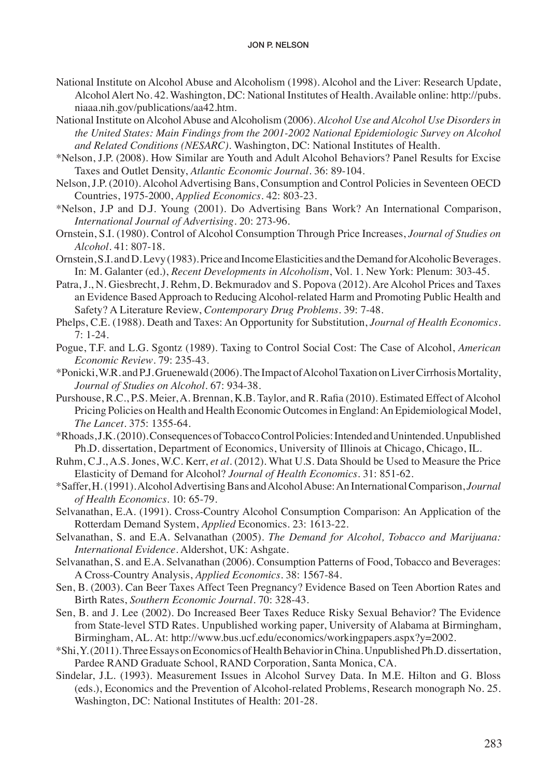- National Institute on Alcohol Abuse and Alcoholism (1998). Alcohol and the Liver: Research Update, AlcoholAlert No. 42. Washington, DC: National Institutes of Health.Available online: http://pubs. niaaa.nih.gov/publications/aa42.htm.
- National Institute onAlcoholAbuse andAlcoholism (2006). *Alcohol Use and Alcohol Use Disorders in the United States: Main Findings from the 2001-2002 National Epidemiologic Survey on Alcohol and Related Conditions (NESARC).* Washington, DC: National Institutes of Health.
- \*Nelson, J.P. (2008). How Similar are Youth and Adult Alcohol Behaviors? Panel Results for Excise Taxes and Outlet Density, *Atlantic Economic Journal*. 36: 89-104.
- Nelson, J.P. (2010). Alcohol Advertising Bans, Consumption and Control Policies in Seventeen OECD Countries, 1975-2000, *Applied Economics*. 42: 803-23.
- \*Nelson, J.P and D.J. Young (2001). Do Advertising Bans Work? An International Comparison, *International Journal of Advertising*. 20: 273-96.
- Ornstein, S.I. (1980). Control of Alcohol Consumption Through Price Increases, *Journal of Studies on Alcohol*. 41: 807-18.
- Ornstein, S.I. and D. Levy (1983). Price and Income Elasticities and the Demand for Alcoholic Beverages. In: M. Galanter (ed.), *Recent Developments in Alcoholism*, Vol. 1. New York: Plenum: 303-45.
- Patra, J., N. Giesbrecht, J. Rehm, D. Bekmuradov and S. Popova (2012). Are Alcohol Prices and Taxes an Evidence Based Approach to Reducing Alcohol-related Harm and Promoting Public Health and Safety? A Literature Review, *Contemporary Drug Problems*. 39: 7-48.
- Phelps, C.E. (1988). Death and Taxes: An Opportunity for Substitution, *Journal of Health Economics*. 7: 1-24.
- Pogue, T.F. and L.G. Sgontz (1989). Taxing to Control Social Cost: The Case of Alcohol, *American Economic Review*. 79: 235-43.
- \*Ponicki,W.R. andP.J.Gruenewald(2006).The ImpactofAlcoholTaxationonLiverCirrhosisMortality, *Journal of Studies on Alcohol*. 67: 934-38.
- Purshouse, R.C., P.S. Meier, A. Brennan, K.B. Taylor, and R. Rafia (2010). Estimated Effect of Alcohol Pricing Policies on Health and Health Economic Outcomesin England:An Epidemiological Model, *The Lancet*. 375: 1355-64.
- \*Rhoads,J.K.(2010).ConsequencesofTobaccoControlPolicies:IntendedandUnintended.Unpublished Ph.D. dissertation, Department of Economics, University of Illinois at Chicago, Chicago, IL.
- Ruhm, C.J., A.S. Jones, W.C. Kerr, *et al.* (2012). What U.S. Data Should be Used to Measure the Price Elasticity of Demand for Alcohol? *Journal of Health Economics*. 31: 851-62.
- \*Saffer, H.(1991).AlcoholAdvertisingBans andAlcoholAbuse:An InternationalComparison, *Journal of Health Economics*. 10: 65-79.
- Selvanathan, E.A. (1991). Cross-Country Alcohol Consumption Comparison: An Application of the Rotterdam Demand System, *Applied* Economics. 23: 1613-22.

Selvanathan, S. and E.A. Selvanathan (2005). *The Demand for Alcohol, Tobacco and Marijuana: International Evidence*. Aldershot, UK: Ashgate.

- Selvanathan, S. and E.A. Selvanathan (2006). Consumption Patterns of Food, Tobacco and Beverages: A Cross-Country Analysis, *Applied Economics*. 38: 1567-84.
- Sen, B. (2003). Can Beer Taxes Affect Teen Pregnancy? Evidence Based on Teen Abortion Rates and Birth Rates, *Southern Economic Journal*. 70: 328-43.
- Sen, B. and J. Lee (2002). Do Increased Beer Taxes Reduce Risky Sexual Behavior? The Evidence from State-level STD Rates. Unpublished working paper, University of Alabama at Birmingham, Birmingham, AL. At: http://www.bus.ucf.edu/economics/workingpapers.aspx?y=2002.
- \*Shi,Y.(2011).ThreeEssaysonEconomicsofHealthBehaviorinChina.UnpublishedPh.D.dissertation, Pardee RAND Graduate School, RAND Corporation, Santa Monica, CA.
- Sindelar, J.L. (1993). Measurement Issues in Alcohol Survey Data. In M.E. Hilton and G. Bloss (eds.), Economics and the Prevention of Alcohol-related Problems, Research monograph No. 25. Washington, DC: National Institutes of Health: 201-28.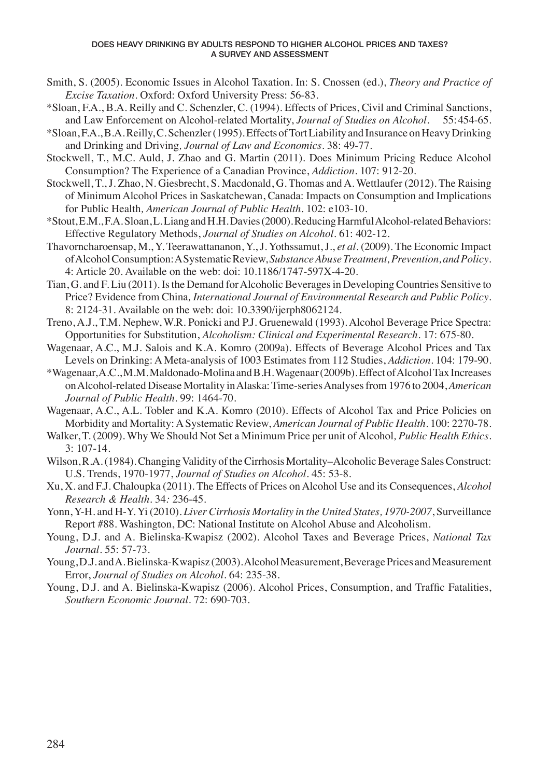- Smith, S. (2005). Economic Issues in Alcohol Taxation. In: S. Cnossen (ed.), *Theory and Practice of Excise Taxation*. Oxford: Oxford University Press: 56-83.
- \*Sloan, F.A., B.A. Reilly and C. Schenzler, C. (1994). Effects of Prices, Civil and Criminal Sanctions, and Law Enforcement on Alcohol-related Mortality, *Journal of Studies on Alcohol*. 55:454-65.
- \*Sloan,F.A.,B.A.Reilly,C.Schenzler(1995).Effects ofTortLiability and Insurance onHeavyDrinking and Drinking and Driving*, Journal of Law and Economics*. 38: 49-77.
- Stockwell, T., M.C. Auld, J. Zhao and G. Martin (2011). Does Minimum Pricing Reduce Alcohol Consumption? The Experience of a Canadian Province, *Addiction*. 107: 912-20.
- Stockwell, T., J. Zhao, N. Giesbrecht, S. Macdonald, G. Thomas andA. Wettlaufer (2012). The Raising of Minimum Alcohol Prices in Saskatchewan, Canada: Impacts on Consumption and Implications for Public Health*, American Journal of Public Health*. 102: e103-10.
- \*Stout,E.M.,F.A.Sloan,L.LiangandH.H.Davies(2000).ReducingHarmfulAlcohol-relatedBehaviors: Effective Regulatory Methods, *Journal of Studies on Alcohol*. 61: 402-12.
- Thavorncharoensap, M., Y. Teerawattananon, Y., J. Yothssamut, J., *et al.* (2009). The Economic Impact ofAlcoholConsumption:ASystematicReview,*Substance Abuse Treatment, Prevention, and Policy*. 4: Article 20. Available on the web: doi: 10.1186/1747-597X-4-20.
- Tian, G. and F. Liu (2011). Is the Demand for Alcoholic Beverages in Developing Countries Sensitive to Price? Evidence from China*, International Journal of Environmental Research and Public Policy*. 8: 2124-31. Available on the web: doi: 10.3390/ijerph8062124.
- Treno, A.J., T.M. Nephew, W.R. Ponicki and P.J. Gruenewald (1993). Alcohol Beverage Price Spectra: Opportunities for Substitution, *Alcoholism: Clinical and Experimental Research*. 17: 675-80.
- Wagenaar, A.C., M.J. Salois and K.A. Komro (2009a). Effects of Beverage Alcohol Prices and Tax Levels on Drinking: A Meta-analysis of 1003 Estimates from 112 Studies, *Addiction*. 104: 179-90.
- \*Wagenaar,A.C.,M.M.Maldonado-Molina andB.H.Wagenaar(2009b).EffectofAlcoholTaxIncreases onAlcohol-related Disease Mortality inAlaska:Time-seriesAnalysesfrom1976 to 2004,*American Journal of Public Health*. 99: 1464-70.
- Wagenaar, A.C., A.L. Tobler and K.A. Komro (2010). Effects of Alcohol Tax and Price Policies on Morbidity and Mortality:ASystematic Review, *American Journal of Public Health*. 100: 2270-78.
- Walker, T. (2009). Why We Should Not Set a Minimum Price per unit of Alcohol, *Public Health Ethics*. 3: 107-14.
- Wilson, R.A. (1984). Changing Validity of the Cirrhosis Mortality–Alcoholic Beverage Sales Construct: U.S. Trends, 1970-1977, *Journal of Studies on Alcohol*. 45: 53-8.
- Xu, X. and F.J. Chaloupka (2011). The Effects of Prices on Alcohol Use and its Consequences, *Alcohol Research & Health*. 34*:* 236-45.
- Yonn,Y-H. and H-Y.Yi (2010). *Liver Cirrhosis Mortality in the United States, 1970-2007*, Surveillance Report #88. Washington, DC: National Institute on Alcohol Abuse and Alcoholism.
- Young, D.J. and A. Bielinska-Kwapisz (2002). Alcohol Taxes and Beverage Prices, *National Tax Journal*. 55: 57-73.
- Young, D.J. and A. Bielinska-Kwapisz (2003). Alcohol Measurement, Beverage Prices and Measurement Error, *Journal of Studies on Alcohol*. 64: 235-38.
- Young, D.J. and A. Bielinska-Kwapisz (2006). Alcohol Prices, Consumption, and Traffic Fatalities, *Southern Economic Journal*. 72: 690-703.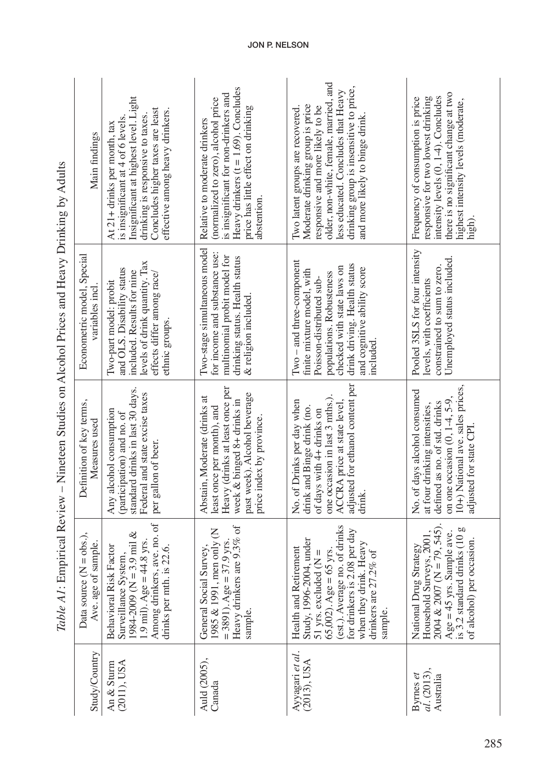|                                                                                                                                                                                                                                                                                               | Main findings                                       | Insignificant at highest level. Light<br>Concludes higher taxes are least<br>effective among heavy drinkers<br>drinking is responsive to taxes.<br>is insignificant at 4 of 6 levels.<br>At 21+ drinks per month, tax | Heavy drinkers $(t = 1.69)$ . Concludes<br>is insignificant for non-drinkers and<br>(normalized to zero), alcohol price<br>price has little effect on drinking<br>Relative to moderate drinkers<br>abstention | older, non-white, female, married, and<br>drinking group is insensitive to price,<br>less educated. Concludes that Heavy<br>Moderate drinking group is price<br>Two latent groups are recovered.<br>responsive and more likely to be<br>and more likely to binge drink | there is no significant change at two<br>intensity levels (0, 1-4). Concludes<br>responsive for two lowest drinking<br>Frequency of consumption is price<br>highest intensity levels (moderate,<br>high) |
|-----------------------------------------------------------------------------------------------------------------------------------------------------------------------------------------------------------------------------------------------------------------------------------------------|-----------------------------------------------------|-----------------------------------------------------------------------------------------------------------------------------------------------------------------------------------------------------------------------|---------------------------------------------------------------------------------------------------------------------------------------------------------------------------------------------------------------|------------------------------------------------------------------------------------------------------------------------------------------------------------------------------------------------------------------------------------------------------------------------|----------------------------------------------------------------------------------------------------------------------------------------------------------------------------------------------------------|
|                                                                                                                                                                                                                                                                                               | Econometric model, Special<br>variables incl        | levels of drink quantity. Tax<br>and OLS. Disability status<br>included. Results for nine<br>effects differ among race/<br>Two-part model: probit<br>ethnic groups.                                                   | Two-stage simultaneous model<br>for income and substance use:<br>multinomial probit model for<br>drinking status. Health status<br>& religion included                                                        | Two - and three-component<br>drink driving. Health status<br>checked with state laws on<br>and cognitive ability score<br>finite mixture model, with<br>populations. Robusteness<br>Poisson-distributed sub-<br>included                                               | Pooled 3SLS for four intensity<br>Unemployed status included.<br>constrained to sum to zero.<br>levels, with coefficients                                                                                |
| $\frac{1}{2}$ and $\frac{1}{2}$ and $\frac{1}{2}$ and $\frac{1}{2}$ and $\frac{1}{2}$ and $\frac{1}{2}$ and $\frac{1}{2}$ and $\frac{1}{2}$ and $\frac{1}{2}$ and $\frac{1}{2}$ and $\frac{1}{2}$ and $\frac{1}{2}$ and $\frac{1}{2}$ and $\frac{1}{2}$ and $\frac{1}{2}$ and $\frac{1}{2}$ a | Definition of key terms,<br>Measures used           | standard drinks in last 30 days.<br>Federal and state excise taxes<br>Any alcohol consumption<br>(participation) and no. of<br>per gallon of beer.                                                                    | Heavy (drinks at least once per<br>past week). Alcohol beverage<br>Abstain, Moderate (drinks at<br>week & binged 8+ drinks in<br>least once per month), and<br>price index by province.                       | adjusted for ethanol content per<br>one occasion in last 3 mths.)<br>No. of Drinks per day when<br>ACCRA price at state level.<br>drink and Binge drink (no.<br>of days with 4+ drinks on<br>drink.                                                                    | 10+) National ave. sales prices,<br>No. of days alcohol consumed<br>on one occasion $(0, 1-4, 5-9,$<br>defined as no. of std. drinks<br>at four drinking intensities,<br>adjusted for state CPI.         |
|                                                                                                                                                                                                                                                                                               | $=$ obs.),<br>Ave. age of sample.<br>Data source (N | ave. no. of<br>1984-2009 (N = 3.9 mil &<br>1.9 mil). Age = $44.8$ yrs.<br>Factor<br>22.6.<br>Surveillance System,<br>drinks per mth. is<br>Among drinkers,<br>Behavioral Risk                                         | Heavy drinkers are 9.3% of<br>1985 & 1991, men only (N<br>$= 3891$ ). Age $= 37.9$ yrs.<br>General Social Survey,<br>sample.                                                                                  | of drinks.<br>for drinkers is 2.08 per day<br>, under<br>Heavy<br>Health and Retirement<br>Study, 1996-2004, under<br>51 yrs. excluded (N =<br>65,002). Age = 65 yrs.<br>drinkers are 27.2% of<br>(est.). Average no<br>when they drink.<br>sample.                    | $2004 & 2007$ (N = 79, 545).<br>is 3.2 standard drinks (10 g<br>$Age = 45$ yrs. Sample ave.<br>Household Surveys, 2001,<br>of alcohol) per occasion.<br>National Drug Strategy                           |
|                                                                                                                                                                                                                                                                                               | Study/Country                                       | An & Sturm<br>(2011), USA                                                                                                                                                                                             | Auld (2005),<br>Canada                                                                                                                                                                                        | $\begin{array}{l} \mathrm{Ayyagari}\;et\;al.\\ (2013)\text{, USA} \end{array}$                                                                                                                                                                                         | al. (2013),<br>Byrnes et<br>Australia                                                                                                                                                                    |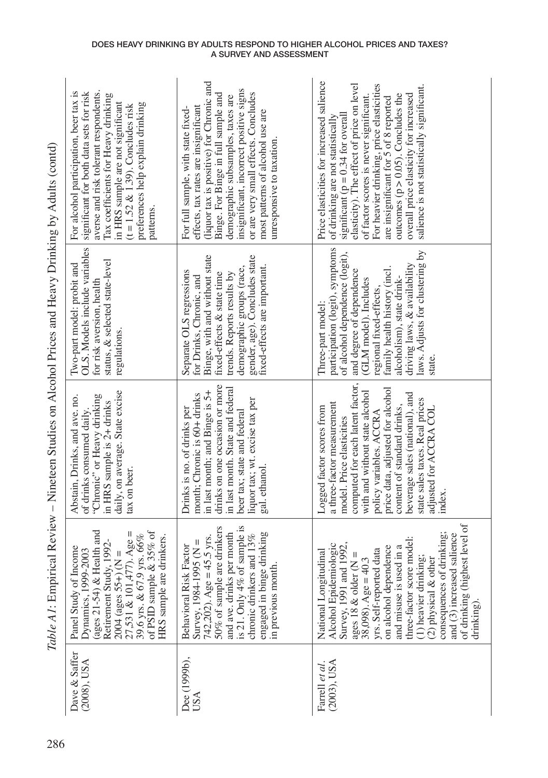| averse and risk tolerant respondents.<br>For alcohol participation, beer tax is<br>significant for both data sets for risk<br>Tax coefficients for Heavy drinking<br>in HRS sample are not significant<br>preferences help explain drinking<br>$(t = 1.52 \& 1.39)$ . Concludes risk<br>patterns | (liquor tax is positive) for Chronic and<br>insignificant, incorrect positive signs<br>Binge. For Binge in full sample and<br>or are very small effects. Concludes<br>demographic subsamples, taxes are<br>effects, tax rates are insignificant<br>For full sample, with state fixed-<br>most patterns of alcohol use are<br>unresponsive to taxation. | Price elasticities for increased salience<br>elasticity). The effect of price on level<br>For heavier drinking, price elasticities<br>salience is not statistically significant<br>overall price elasticity for increased<br>outcomes ( $p > 0.05$ ). Concludes the<br>of factor scores is never significant.<br>are insignificant for 5 of 8 reported<br>significant ( $p = 0.34$ for overall<br>of drinking are not statistically |
|--------------------------------------------------------------------------------------------------------------------------------------------------------------------------------------------------------------------------------------------------------------------------------------------------|--------------------------------------------------------------------------------------------------------------------------------------------------------------------------------------------------------------------------------------------------------------------------------------------------------------------------------------------------------|-------------------------------------------------------------------------------------------------------------------------------------------------------------------------------------------------------------------------------------------------------------------------------------------------------------------------------------------------------------------------------------------------------------------------------------|
| OLS. Models include variables<br>status, & selected state-level<br>Two-part model: probit and<br>for risk aversion, health<br>regulations.                                                                                                                                                       | Binge, with and without state<br>gender, age). Concludes state<br>fixed-effects are important.<br>demographic groups (race,<br>Separate OLS regressions<br>fixed-effects & state time<br>trends. Reports results by<br>for Drinks, Chronic, and                                                                                                        | participation (logit), symptoms<br>laws. Adjusts for clustering by<br>of alcohol dependence (logit),<br>driving laws, & availability<br>family health history (incl.<br>and degree of dependence<br>alcoholism), state drink-<br>(GLM model). Includes<br>regional fixed-effects,<br>Three-part model:<br>state.                                                                                                                    |
| daily, on average. State excise<br>"Chronic" or Heavy drinking<br>Abstain, Drinks, and ave. no.<br>in HRS sample is 2+ drinks<br>of drinks consumed daily.<br>tax on beer.                                                                                                                       | drinks on one occasion or more<br>in last month. State and federal<br>in last month; and Binge is 5+<br>month; Chronic is 60+ drinks<br>liquor tax; wt. excise tax per<br>Drinks is no. of drinks per<br>beer tax; state and federal<br>gal.ethanol.                                                                                                   | computed for each latent factor,<br>price data, adjusted for alcohol<br>with and without state alcohol<br>beverage sales (national), and<br>state sales taxes. Real prices<br>a three-factor measurement<br>content of standard drinks,<br>Logged factor scores from<br>adjusted for ACCRA COL<br>policy variables. ACCRA<br>model. Price elasticities<br>index                                                                     |
| ealth and<br>39.6 yrs. & 67.9 yrs. 66%<br>of PSID sample & 35% of<br>Retirement Study, 1992-<br>2004 (ages 55+) (N =<br>27,531 & 101,477). Age =<br>HRS sample are drinkers.<br>Panel Study of Income<br>Dynamics, 1999-2003<br>(ages 21-54) & H                                                 | is 21. Only $4\%$ of sample is<br>50% of sample are drinkers<br>and ave. drinks per month<br>chronic drinkers and $13\%$<br>engaged in binge drinking<br>Survey, 1984-1995 (N = 742,202). Age = 45.5 yrs.<br><b>Behavioral Risk Factor</b><br>in previous month                                                                                        | of drinking (highest level of<br>consequences of drinking;<br>salience<br>three-factor score model:<br>Survey, 1991 and 1992,<br>Alcohol Epidemiologic<br>and misuse is used in a<br>on alcohol dependence<br>yrs. Self-reported data<br>National Longitudinal<br>ages 18 & older (N = 38,098). Age = 40.3<br>(1) heavier drinking;<br>(2) physical & other<br>and (3) increased<br>drinking)                                       |
| Dave & Saffer<br>(2008), USA                                                                                                                                                                                                                                                                     | Dee (1999b),<br><b>USA</b>                                                                                                                                                                                                                                                                                                                             | Farrell et al.<br>(2003), USA                                                                                                                                                                                                                                                                                                                                                                                                       |

Table A1: Empirical Review - Nineteen Studies on Alcohol Prices and Heavy Drinking by Adults (contd) – Nineteen Studies on Alcohol Prices and Heavy Drinking by Adults (contd)*Table A1*: Empirical Review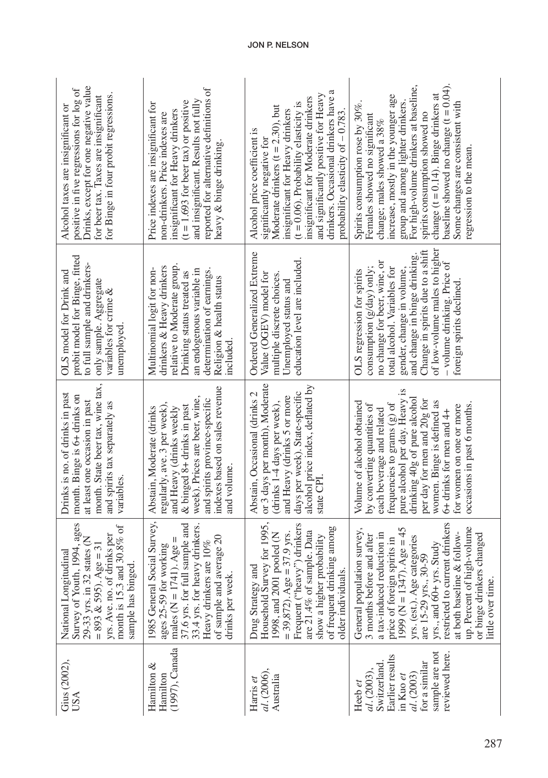| Drinks, except for one negative value<br>positive in five regressions for log of<br>for Binge in four probit regressions.<br>for beer tax. Taxes are insignificant<br>Alcohol taxes are insignificant or | reported for alternative definitions of<br>and insignificant. Results not fully<br>$(t = 1.693$ for beer tax) or positive<br>Price indexes are insignificant for<br>insignificant for Heavy drinkers<br>non-drinkers. Price indexes are<br>heavy & binge drinking | ß<br>and significantly positive for Heavy<br>insignificant for Moderate drinkers<br>drinkers. Occasional drinkers have<br>$(t = 0.06)$ . Probability elasticity is<br>Moderate drinkers $(t = 2.30)$ , but<br>insignificant for Heavy drinkers<br>probability elasticity of - 0.783<br>Alcohol price coefficient is<br>significantly negative for | baseline showed no change $(t = 0.04)$ .<br>group and among lighter drinkers.<br>For high-volume drinkers at baseline,<br>change $(t = 0.14)$ . Binge drinkers at<br>increase, mostly in the younger age<br>Some changes are consistent with<br>Spirits consumption rose by 30%<br>spirits consumption showed no<br>Females showed no significant<br>change; males showed a 38%<br>regression to the mean. |
|----------------------------------------------------------------------------------------------------------------------------------------------------------------------------------------------------------|-------------------------------------------------------------------------------------------------------------------------------------------------------------------------------------------------------------------------------------------------------------------|---------------------------------------------------------------------------------------------------------------------------------------------------------------------------------------------------------------------------------------------------------------------------------------------------------------------------------------------------|------------------------------------------------------------------------------------------------------------------------------------------------------------------------------------------------------------------------------------------------------------------------------------------------------------------------------------------------------------------------------------------------------------|
| probit model for Binge, fitted<br>to full sample and drinkers-<br>OLS model for Drink and<br>only sample. Aggregate<br>variables for crime $\&$<br>unemployed                                            | relative to Moderate group.<br>drinkers & Heavy drinkers<br>Multinomial logit for non-<br>an endogenous variable in<br>determination of earnings.<br>Drinking status treated as<br>Religion & health status<br>included                                           | Ordered Generalized Extreme<br>education level are included.<br>Value (OGEV) model for<br>multiple discrete choices<br>Unemployed status and                                                                                                                                                                                                      | of low-volume males to higher<br>Change in spirits due to a shift<br>and change in binge drinking.<br>no change for beer, wine, or<br>- volume drinking. Price of<br>consumption (g/day) only;<br>total alcohol. Variables for<br>gender, change in volume,<br>OLS regression for spirits<br>foreign spirits declined                                                                                      |
| month. State beer tax, wine tax,<br>Drinks is no. of drinks in past<br>month. Binge is 6+ drinks on<br>at least one occasion in past<br>and spirits tax separately as<br>variables.                      | indexes based on sales revenue<br>week). Prices are beer, wine,<br>and spirits province-specific<br>regularly, ave. 3 per week),<br>& binged 8+ drinks in past<br>Abstain, Moderate (drinks<br>and Heavy (drinks weekly<br>and volume.                            | or 3 days per month), Moderate<br>alcohol price index, deflated by<br>Abstain, Occasional (drinks 2<br>days per week). State-specific<br>and Heavy (drinks 5 or more<br>(drinks 1-4 days per week),<br>state CPI                                                                                                                                  | pure alcohol per day. Heavy is<br>drinking 40g of pure alcohol<br>per day for men and 20g for<br>women. Binge is defined as<br>Volume of alcohol obtained<br>frequencies to grams (g) of<br>occasions in past 6 months.<br>by converting quantities of<br>for women on one or more<br>each beverage and related<br>6+ drinks for men and 4+                                                                |
| Survey of Youth, 1994, ages<br>month is 15.3 and 30.8% of<br>yrs. Ave. no. of drinks per<br>$29-33$ yrs. in 32 states (N<br>= 893 & 595). Age = 31<br>National Longitudinal<br>sample has binged.        | 1985 General Social Survey,<br>37.6 yrs. for full sample and<br>33.4 yrs. for heavy drinkers.<br>of sample and average 20<br>males ( $N = 1741$ ). Age =<br>Heavy drinkers are 10%<br>ages 25-59 for working<br>drinks per week.                                  | Household Survey for 1995,<br>Frequent ("heavy") drinkers<br>of frequent drinking among<br>are 21.4% of sample. Data<br>$= 39,872$ . Age $= 37.9$ yrs.<br>1998, and 2001 pooled (N<br>show a higher probability<br>Drug Strategy and<br>older individuals.                                                                                        | restricted to current drinkers<br>up. Percent of high-volume<br>1999 ( $N = 1347$ ). Age = 45<br>General population survey.<br>a tax-induced reduction in<br>at both baseline & follow-<br>changed<br>3 months before and after<br>yrs. (est.). Age categories<br>price of foreign spirits in<br>yrs., and 60+ yrs. Study<br>are 15-29 yrs., 30-59<br>or binge drinkers<br>little over time.               |
| Gius (2002), USA                                                                                                                                                                                         | (1997), Canada<br>Hamilton $&$<br>Hamilton                                                                                                                                                                                                                        | al. (2006),<br>Australia<br>Harris $ei$                                                                                                                                                                                                                                                                                                           | sample are not<br>reviewed here.<br>Earlier results<br>for a similar<br>Switzerland<br>al. (2003)<br>al. (2003)<br>in Kuo et<br>Heeb $et$                                                                                                                                                                                                                                                                  |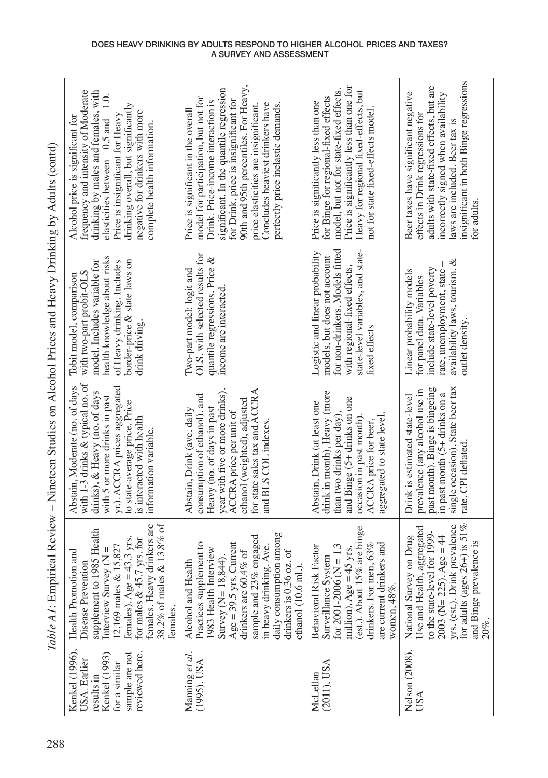|                                                                                       | frequency and intensity of Moderate<br>drinking by males and females, with<br>elasticities between $-0.5$ and $-1.0$ .<br>drinking overall, but significantly<br>negative for drinkers with more<br>Price is insignificant for Heavy<br>Alcohol price is significant for<br>complete health information. | 90th and 95th percentiles. For Heavy,<br>significant. In the quantile regression<br>model for participation, but not for<br>for Drink, price is insignificant for<br>Drink. Price-income interaction is<br>Concludes heaviest drinkers have<br>price elasticities are insignificant.<br>perfectly price inelastic demands.<br>Price is significant in the overall | Price is significantly less than one for<br>model, but not for state-fixed effects.<br>Heavy for regional fixed-effects, but<br>for Binge for regional-fixed effects<br>Price is significantly less than one<br>not for state fixed-effects model | insignificant in both Binge regressions<br>adults with state-fixed effects, but are<br>Beer taxes have significant negative<br>incorrectly signed when availability<br>effects in Drink regressions for<br>laws are included. Beer tax is<br>for adults. |
|---------------------------------------------------------------------------------------|----------------------------------------------------------------------------------------------------------------------------------------------------------------------------------------------------------------------------------------------------------------------------------------------------------|-------------------------------------------------------------------------------------------------------------------------------------------------------------------------------------------------------------------------------------------------------------------------------------------------------------------------------------------------------------------|---------------------------------------------------------------------------------------------------------------------------------------------------------------------------------------------------------------------------------------------------|----------------------------------------------------------------------------------------------------------------------------------------------------------------------------------------------------------------------------------------------------------|
|                                                                                       | health knowledge about risks<br>model. Includes variable for<br>border-price & state laws on<br>of Heavy drinking. Includes<br>with two-part probit-OLS<br>Tobit model, comparison<br>drink driving.                                                                                                     | OLS, with selected results for<br>quantile regressions. Price &<br>Iwo-part model: logit and<br>income are interacted                                                                                                                                                                                                                                             | for non-drinkers. Models fitted<br>Logistic and linear probability<br>state-level variables, and state-<br>models, but does not account<br>with regional-fixed effects,<br>fixed effects                                                          | availability laws, tourism, &<br>include state-level poverty<br>rate, unemployment, state<br>Linear probability models<br>for panel data. Variables<br>outlet density.                                                                                   |
| ical Review - Nineteen Studies on Alcohol Prices and Heavy Drinking by Adults (contd) | with 1-3 drinks & typical no. of<br>Abstain, Moderate (no. of days<br>yr.). ACCRA prices aggregated<br>drinks), & Heavy (no. of days<br>with 5 or more drinks in past<br>to state-average price. Price<br>is interacted with health<br>information variable                                              | year with five or more drinks).<br>for state sales tax and ACCRA<br>consumption of ethanol), and<br>ethanol (weighted), adjusted<br>Heavy (no. of days in past<br>Abstain, Drink (ave. daily<br>ACCRA price per unit of<br>and BLS COL indexes                                                                                                                    | drink in month), Heavy (more<br>and Binge (5+ drinks on one<br>Abstain, Drink (at least one<br>than two drinks per day),<br>aggregated to state level.<br>occasion in past month)<br>ACCRA price for beer,                                        | single occasion). State beer tax<br>past month). Binge is bingeing<br>prevalence (any alcohol use in<br>in past month $(5+$ drinks on a<br>Drink is estimated state-level<br>rate, CPI deflated                                                          |
| Table A1: Empiri                                                                      | females. Heavy drinkers are<br>38.2% of males & 13.8% of<br>supplement to 1985 Health<br>females). Age = $43.3$ yrs.<br>yrs. for<br>Interview Survey ( $N = 12,169$ males & $15,827$<br>Health Promotion and<br>Disease Prevention<br>for males $& 45.7$<br>females.                                     | daily consumption among<br>sample and 23% engaged<br>Practices supplement to<br>Survey ( $N=18,844$ ).<br>Age = 39.5 yrs. Current<br>drinkers are 60.4% of<br>in heavy drinking. Ave.<br>1983 Health Interview<br>drinkers is 0.36 oz. of<br>Alcohol and Health<br>ethanol (10.6 ml                                                                               | (est.). About 15% are binge<br>drinkers. For men, 63%<br>are current drinkers and<br>for 2001-2006 ( $N = 1.3$<br>Factor<br>million). Age = $45$ yrs.<br>Surveillance System<br><b>Behavioral Risk</b><br>women, 48%.                             | for adults (ages $26+$ ) is $51\%$<br>prevalence<br>aggregated<br>for 1999-<br>$2003$ (N= 225). Age = 44<br>on Drug<br>and Binge prevalence is<br>to the state-level<br>yrs. (est.). Drink<br>National Survey<br>Use and Health,<br>20%.                 |
|                                                                                       | Kenkel (1996),<br>sample are not<br>reviewed here<br>Kenkel (1993)<br>USA. Earlier<br>for a similar<br>results in                                                                                                                                                                                        | Manning et al.<br>(1995), USA                                                                                                                                                                                                                                                                                                                                     | (2011), USA<br>McLellan                                                                                                                                                                                                                           | Nelson (2008),<br>USA                                                                                                                                                                                                                                    |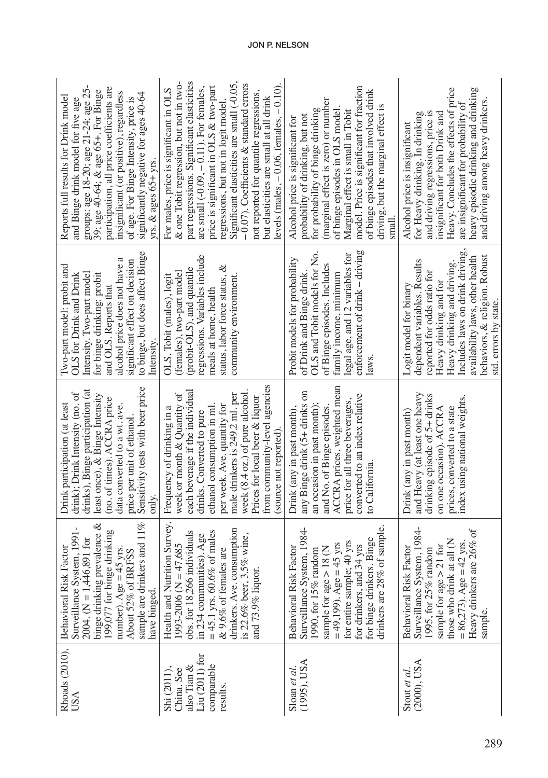| participation, all price coefficients are<br>groups: age 18-20; age 21-24; age 25<br>39; age 40-64; & age 65+. For Binge<br>insignificant (or positive), regardless<br>significantly negative for ages 40-64<br>Reports full results for Drink model<br>of age. For Binge Intensity, price is<br>and Binge drink model for five age<br>yrs. $&$ ages $65 +$ yrs | part regressions. Significant elasticities<br>& one Tobit regression, but not in two-<br>Significant elasticities are small (-0.05<br>-0.07). Coefficients & standard errors<br>levels (males, $-0.06$ , females, $-0.10$ )<br>price is significant in OLS & two-part<br>are small $(-0.09, -0.11)$ . For females,<br>For males, price is significant in OLS<br>not reported for quantile regressions<br>but elasticities are small at all drink<br>regressions, but not in logit model. | model. Price is significant for fraction<br>of binge episodes that involved drink<br>(marginal effect is zero) or number<br>driving, but the marginal effect is<br>of binge episodes in OLS model.<br>for probability of binge drinking<br>Marginal effect is small in Tobit<br>probability of drinking, but not<br>Alcohol price is significant for<br>small | Heavy. Concludes the effects of price<br>heavy episodic drinking and drinking<br>and driving among heavy drinkers.<br>are insignificant for probability of<br>and driving regressions, price is<br>for Heavy drinking. In drinking<br>insignificant for both Drink and<br>Alcohol price is insignificant |
|-----------------------------------------------------------------------------------------------------------------------------------------------------------------------------------------------------------------------------------------------------------------------------------------------------------------------------------------------------------------|------------------------------------------------------------------------------------------------------------------------------------------------------------------------------------------------------------------------------------------------------------------------------------------------------------------------------------------------------------------------------------------------------------------------------------------------------------------------------------------|---------------------------------------------------------------------------------------------------------------------------------------------------------------------------------------------------------------------------------------------------------------------------------------------------------------------------------------------------------------|----------------------------------------------------------------------------------------------------------------------------------------------------------------------------------------------------------------------------------------------------------------------------------------------------------|
| to binge, but does affect Binge<br>$\epsilon$<br>significant effect on decision<br>Two-part model: probit and<br>alcohol price does not have<br>Intensity. Two-part model<br>OLS for Drink and Drink<br>for binge drinking: probit<br>and OLS. Reports that<br>Intensity                                                                                        | regressions. Variables include<br>ళ<br>(probit-OLS), and quantile<br>(females), two-part model<br>OLS, Tobit (males), logit<br>status, labor force status,<br>community environment<br>meals at home, health                                                                                                                                                                                                                                                                             | enforcement of drink – driving<br>OLS and Tobit models for No.<br>legal age, and 12 variables for<br>Probit models for probability<br>of Binge episodes. Includes<br>of Drink and Binge drink.<br>family income, minimum<br>laws                                                                                                                              | Includes laws on drink driving,<br>availability laws, other health<br>behaviors, & religion. Robust<br>dependent variables. Results<br>Heavy drinking and driving.<br>reported for odds ratio for<br>Heavy drinking and for<br>Logit model for binary<br>std. errors by state.                           |
| Sensitivity tests with beer price<br>drinks), Binge participation (at<br>drink); Drink Intensity (no. of<br>least once), & Binge Intensity<br>(no. of times). ACCRA price<br>Drink participation (at least<br>data converted to a wt. ave.<br>price per unit of ethanol.<br>only                                                                                | from community-level agencies<br>each beverage if the individual<br>week (8.4 oz.) of pure alcohol<br>week or month & Quantity of<br>male drinkers is 249.2 ml. per<br>Prices for local beer & liquor<br>per week. Ave. quantity for<br>Frequency of drinking in a<br>ethanol consumption in ml<br>drinks. Converted to pure<br>(source not reported)                                                                                                                                    | ACCRA prices, weighted mean<br>any Binge drink (5+ drinks on<br>converted to an index relative<br>price for all three beverages,<br>an occasion in past month);<br>and No. of Binge episodes.<br>Drink (any in past month),<br>to California                                                                                                                  | and Heavy (at least one heavy<br>drinking episode of 5+ drinks<br>index using national weights<br>on one occasion). ACCRA<br>prices, converted to a state<br>Drink (any in past month)                                                                                                                   |
| sample are drinkers and 11%<br>ళ<br>199,077 for binge drinking<br>Behavioral Risk Factor<br>Surveillance System, 1991<br>binge drinking prevalence<br>$2004.$ (N = 1,446,891 for<br>45 yrs.<br>About 52% of BRFSS<br>number). Age $=$ 4<br>have binged.                                                                                                         | Health and Nutrition Survey,<br>drinkers. Ave. consumption<br>obs. for 18,266 individuals<br>= 45.1 yrs. 60.6% of males<br>in 234 communities). Age<br>is $22.6\%$ beer, $3.5\%$ wine,<br>47,685<br>& 9.6% of females are<br>and 73.9% liquor<br>$1993 - 2006$ (N = $\cdot$                                                                                                                                                                                                              | of sample<br>Surveillance System, 1984-<br>for binge drinkers. Binge<br>for entire sample; 40 yrs<br>$= 49,199$ . Age $= 45$ yrs<br>34 yrs<br>Factor<br>$-18$ (N<br>1990, for 15% random<br>drinkers are 28%<br>sample for $age$ ><br>for drinkers, and<br><b>Behavioral Risk</b>                                                                             | Surveillance System, 1984<br>Heavy drinkers are 26% of<br>those who drink at all (N<br>$= 86,273$ . Age $= 42$ yrs.<br>$-21$ for<br>Factor<br>1995, for 25% random<br>sample for age $>$<br><b>Behavioral Risk</b><br>sample                                                                             |
| Rhoads (2010),<br><b>USA</b>                                                                                                                                                                                                                                                                                                                                    | Liu (2011) for<br>comparable<br>also Tian &<br>Shi (2011)<br>China. See<br>results.                                                                                                                                                                                                                                                                                                                                                                                                      | (1995), USA<br>$S$ loan <i>et al</i>                                                                                                                                                                                                                                                                                                                          | (2000), USA<br>Stout et al                                                                                                                                                                                                                                                                               |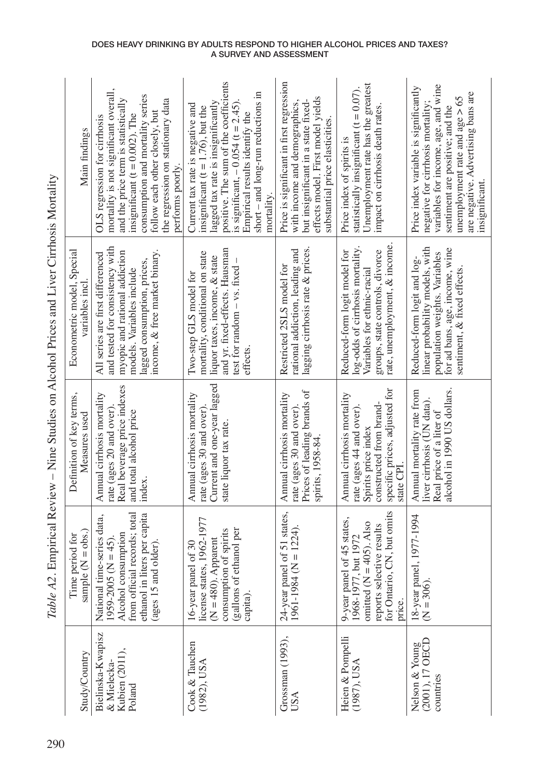| Main findings                                | mortality is not significant overall,<br>consumption and mortality series<br>and the price term is statistically<br>the regression on stationary data<br>follow each other closely, but<br>insignificant $(t = 0.002)$ . The<br>OLS regression for cirrhosis<br>performs poorly. | positive. The sum of the coefficients<br>short – and long-run reductions in<br>lagged tax rate is insignificantly<br>is significant, $-0.054$ (t = 2.45)<br>Current tax rate is negative and<br>insignificant ( $t = 1.76$ ), but the<br>Empirical results identify the<br>mortality. | Price is significant in first regression<br>effects model. First model yields<br>with income and demographics<br>but insignificant in a state fixed<br>substantial price elasticities. | Unemployment rate has the greatest<br>statistically insignificant $(t = 0.07)$ .<br>impact on cirrhosis death rates<br>Price index of spirits is                  | variables for income, age, and wine<br>Price index variable is significantly<br>are negative. Advertising bans are<br>unemployment rate and $\text{age} > 65$<br>negative for cirrhosis mortality<br>sentiment are positive; and the<br>insignificant. |
|----------------------------------------------|----------------------------------------------------------------------------------------------------------------------------------------------------------------------------------------------------------------------------------------------------------------------------------|---------------------------------------------------------------------------------------------------------------------------------------------------------------------------------------------------------------------------------------------------------------------------------------|----------------------------------------------------------------------------------------------------------------------------------------------------------------------------------------|-------------------------------------------------------------------------------------------------------------------------------------------------------------------|--------------------------------------------------------------------------------------------------------------------------------------------------------------------------------------------------------------------------------------------------------|
| Econometric model, Special<br>variables incl | and tested for consistency with<br>myopic and rational addiction<br>All series are first differenced<br>income, & free market binary<br>lagged consumption, prices,<br>models. Variables include                                                                                 | and yr. fixed-effects. Hausman<br>mortality, conditional on state<br>liquor taxes, income, & state<br>test for random - vs. fixed<br>Two-step GLS model for<br>effects                                                                                                                | lagging cirrhosis rate & prices<br>rational addiction, leading and<br>Restricted 2SLS model for                                                                                        | rate, unemployment, & income<br>log-odds of cirrhosis mortality<br>groups, state controls, divorce<br>Reduced-form logit model for<br>Variables for ethnic-racial | linear probability models, with<br>for ad bans, age, income, wine<br>population weights. Variables<br>Reduced-form logit and log-<br>sentiment, & fixed effects.                                                                                       |
| Definition of key terms,<br>Measures used    | Real beverage price indexes<br>Annual cirrhosis mortality<br>rate (ages 20 and over)<br>and total alcohol price<br>index                                                                                                                                                         | Current and one-year lagged<br>Annual cirrhosis mortality<br>rate (ages 30 and over)<br>state liquor tax rate.                                                                                                                                                                        | Prices of leading brands of<br>Annual cirrhosis mortality<br>rate (ages 30 and over).<br>spirits, 1958-84                                                                              | specific prices, adjusted for<br>Annual cirrhosis mortality<br>constructed from brand-<br>rate (ages 44 and over)<br>Spirits price index<br>state CPI             | Annual mortality rate from<br>alcohol in 1990 US dollars<br>liver cirrhosis (UN data).<br>Real price of a liter of                                                                                                                                     |
| sample $(N = obs.)$<br>Time period for       | from official records; total<br>ethanol in liters per capita<br>National time-series data,<br>Alcohol consumption<br>$=45$ .<br>(ages 15 and older).<br>1959-2005 <sub>(N</sub>                                                                                                  | license states, 1962-1977<br>(gallons of ethanol per<br>consumption of spirits<br>$(N = 480)$ . Apparent<br>16-year panel of 30<br>capita).                                                                                                                                           | 24-year panel of 51 states,<br>1961-1984 ( $N = 1224$ ).<br>$= 1224$                                                                                                                   | for Ontario, CN, but omits<br>9-year panel of 45 states,<br>omitted $(N = 405)$ . Also<br>reports selective results<br>1968-1977, but 1972<br>price.              | 18-year panel, 1977-1994<br>$(N = 306)$                                                                                                                                                                                                                |
| Study/Country                                | Bielinska-Kwapisz<br><b>Kubien</b> (2011)<br>& Mielecka<br>Poland                                                                                                                                                                                                                | Cook & Tauchen<br>(1982), USA                                                                                                                                                                                                                                                         | Grossman (1993),<br>USA                                                                                                                                                                | Heien & Pompelli<br>(1987), USA                                                                                                                                   | Nelson & Young<br>(2001), 17 OECD<br>countries                                                                                                                                                                                                         |